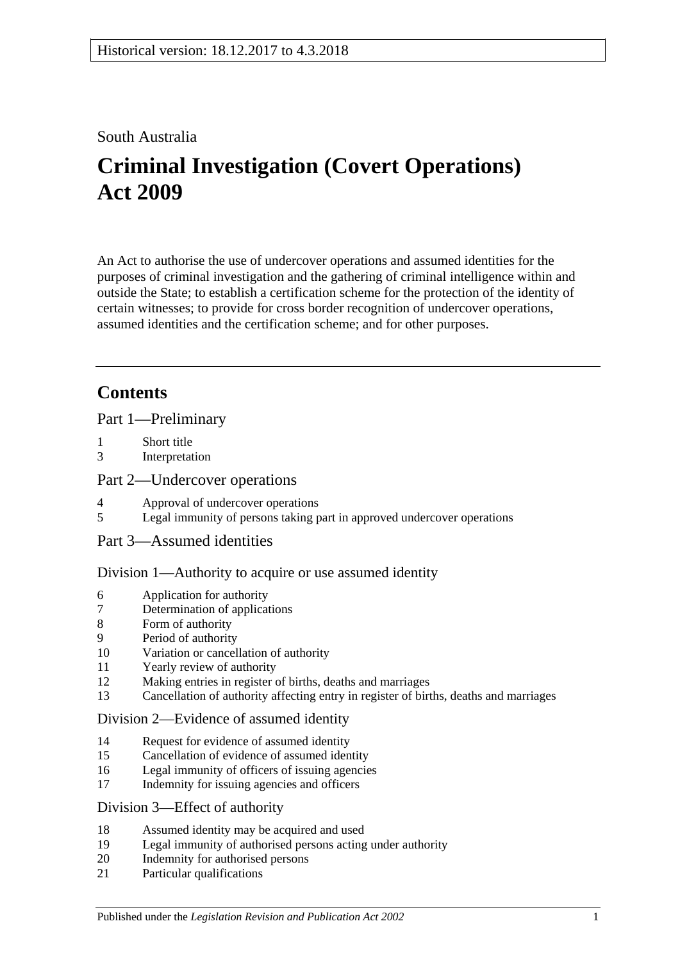### South Australia

# **Criminal Investigation (Covert Operations) Act 2009**

An Act to authorise the use of undercover operations and assumed identities for the purposes of criminal investigation and the gathering of criminal intelligence within and outside the State; to establish a certification scheme for the protection of the identity of certain witnesses; to provide for cross border recognition of undercover operations, assumed identities and the certification scheme; and for other purposes.

## **Contents**

[Part 1—Preliminary](#page-2-0)

- 1 [Short title](#page-2-1)
- 3 [Interpretation](#page-2-2)

### [Part 2—Undercover operations](#page-6-0)

- 4 [Approval of undercover operations](#page-6-1)
- 5 [Legal immunity of persons taking part in approved undercover operations](#page-8-0)
- [Part 3—Assumed identities](#page-8-1)

### [Division 1—Authority to acquire or use assumed identity](#page-8-2)

- 6 [Application for authority](#page-8-3)
- 7 [Determination of applications](#page-9-0)
- 8 [Form of authority](#page-9-1)
- 9 [Period of authority](#page-10-0)
- 10 [Variation or cancellation of authority](#page-10-1)
- 11 [Yearly review of authority](#page-11-0)
- 12 [Making entries in register of births, deaths and marriages](#page-11-1)
- 13 [Cancellation of authority affecting entry in register of births, deaths and marriages](#page-11-2)

### [Division 2—Evidence of assumed identity](#page-12-0)

- 14 [Request for evidence of assumed identity](#page-12-1)
- 15 [Cancellation of evidence of assumed identity](#page-12-2)
- 16 [Legal immunity of officers of issuing agencies](#page-13-0)
- 17 [Indemnity for issuing agencies and officers](#page-13-1)

### [Division 3—Effect of authority](#page-13-2)

- 18 [Assumed identity may be acquired and used](#page-13-3)
- 19 [Legal immunity of authorised persons acting under authority](#page-13-4)
- 20 [Indemnity for authorised persons](#page-14-0)
- 21 [Particular qualifications](#page-14-1)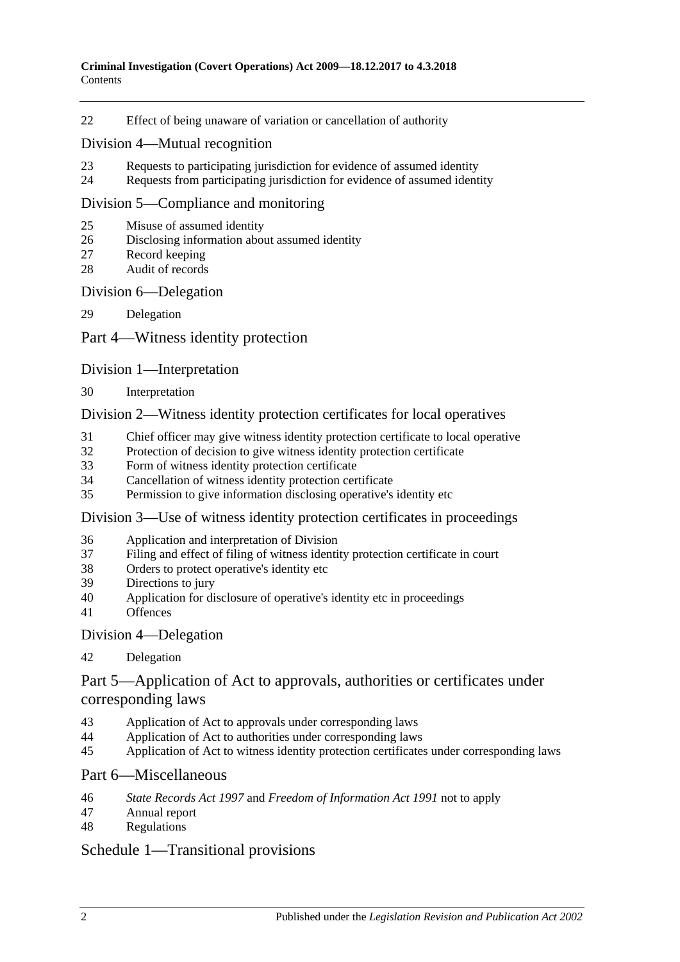[Effect of being unaware of variation or cancellation of authority](#page-14-2)

### [Division 4—Mutual recognition](#page-14-3)

- [Requests to participating jurisdiction for evidence of assumed identity](#page-14-4)
- [Requests from participating jurisdiction for evidence of assumed identity](#page-15-0)

#### [Division 5—Compliance and monitoring](#page-15-1)

- [Misuse of assumed identity](#page-15-2)
- [Disclosing information about assumed identity](#page-16-0)
- [Record keeping](#page-16-1)
- [Audit of records](#page-17-0)

### [Division 6—Delegation](#page-17-1)

[Delegation](#page-17-2)

### [Part 4—Witness identity protection](#page-18-0)

### [Division 1—Interpretation](#page-18-1)

[Interpretation](#page-18-2)

### [Division 2—Witness identity protection certificates for local operatives](#page-19-0)

- [Chief officer may give witness identity protection certificate to local operative](#page-19-1)
- [Protection of decision to give witness identity protection certificate](#page-20-0)
- [Form of witness identity protection certificate](#page-20-1)
- [Cancellation of witness identity protection certificate](#page-21-0)
- [Permission to give information disclosing operative's identity etc](#page-21-1)

### [Division 3—Use of witness identity protection certificates in proceedings](#page-21-2)

- [Application and interpretation of Division](#page-21-3)
- [Filing and effect of filing of witness identity protection certificate in court](#page-22-0)
- [Orders to protect operative's identity etc](#page-23-0)
- [Directions to jury](#page-23-1)
- [Application for disclosure of operative's identity etc in proceedings](#page-23-2)
- [Offences](#page-25-0)

### [Division 4—Delegation](#page-25-1)

### [Delegation](#page-25-2)

### [Part 5—Application of Act to approvals, authorities or certificates under](#page-26-0)  [corresponding laws](#page-26-0)

- [Application of Act to approvals under corresponding laws](#page-26-1)
- [Application of Act to authorities under corresponding laws](#page-26-2)
- [Application of Act to witness identity protection certificates under corresponding laws](#page-26-3)

### [Part 6—Miscellaneous](#page-27-0)

- *State Records Act 1997* and *[Freedom of Information Act](#page-27-1) 1991* not to apply
- [Annual report](#page-27-2)
- [Regulations](#page-28-0)

### [Schedule 1—Transitional provisions](#page-28-1)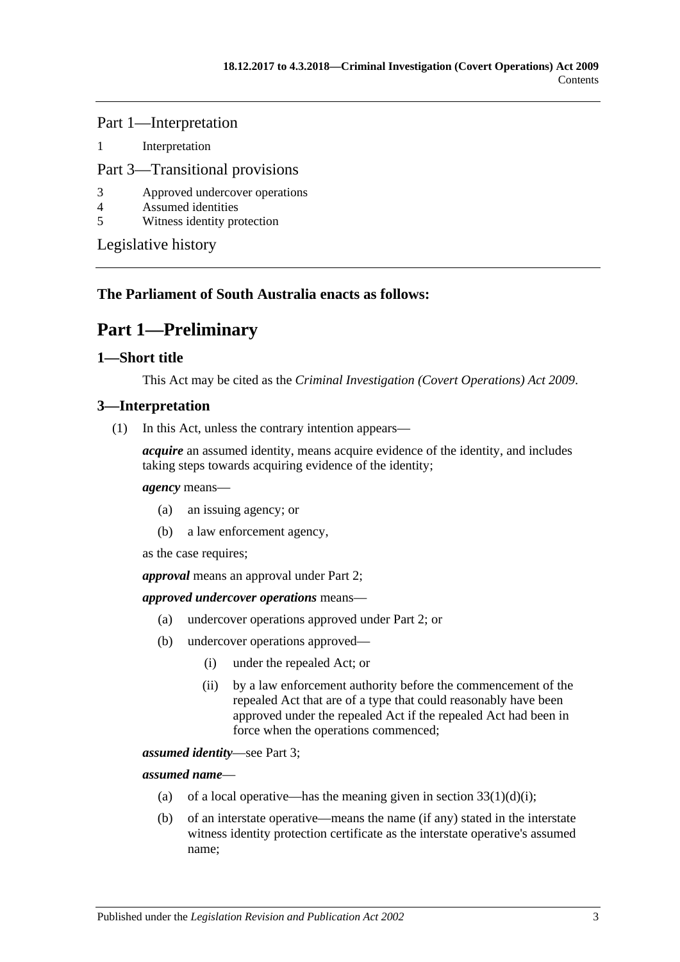Part 1—Interpretation

1 [Interpretation](#page-28-2)

### Part 3—Transitional provisions

- 3 [Approved undercover operations](#page-29-0)
- 4 [Assumed identities](#page-29-1)
- 5 [Witness identity protection](#page-29-2)

[Legislative history](#page-30-0)

### <span id="page-2-0"></span>**The Parliament of South Australia enacts as follows:**

## **Part 1—Preliminary**

### <span id="page-2-1"></span>**1—Short title**

This Act may be cited as the *Criminal Investigation (Covert Operations) Act 2009*.

### <span id="page-2-2"></span>**3—Interpretation**

(1) In this Act, unless the contrary intention appears—

*acquire* an assumed identity, means acquire evidence of the identity, and includes taking steps towards acquiring evidence of the identity;

#### *agency* means—

- (a) an issuing agency; or
- (b) a law enforcement agency,

as the case requires;

*approval* means an approval under [Part 2;](#page-6-0)

#### *approved undercover operations* means—

- (a) undercover operations approved under [Part 2;](#page-6-0) or
- (b) undercover operations approved—
	- (i) under the repealed Act; or
	- (ii) by a law enforcement authority before the commencement of the repealed Act that are of a type that could reasonably have been approved under the repealed Act if the repealed Act had been in force when the operations commenced;

*assumed identity*—see [Part 3;](#page-8-1)

*assumed name*—

- (a) of a local operative—has the meaning given in section  $33(1)(d)(i)$ ;
- (b) of an interstate operative—means the name (if any) stated in the interstate witness identity protection certificate as the interstate operative's assumed name;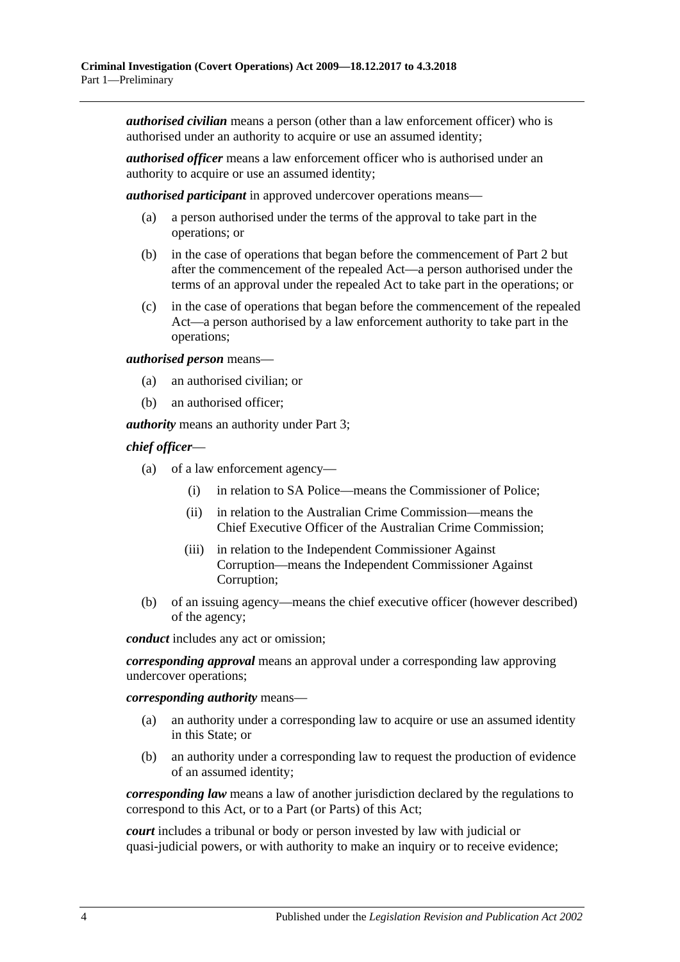*authorised civilian* means a person (other than a law enforcement officer) who is authorised under an authority to acquire or use an assumed identity;

*authorised officer* means a law enforcement officer who is authorised under an authority to acquire or use an assumed identity;

*authorised participant* in approved undercover operations means—

- (a) a person authorised under the terms of the approval to take part in the operations; or
- (b) in the case of operations that began before the commencement of [Part 2](#page-6-0) but after the commencement of the repealed Act—a person authorised under the terms of an approval under the repealed Act to take part in the operations; or
- (c) in the case of operations that began before the commencement of the repealed Act—a person authorised by a law enforcement authority to take part in the operations;

*authorised person* means—

- (a) an authorised civilian; or
- (b) an authorised officer;

*authority* means an authority under [Part 3;](#page-8-1)

#### *chief officer*—

- (a) of a law enforcement agency—
	- (i) in relation to SA Police—means the Commissioner of Police;
	- (ii) in relation to the Australian Crime Commission—means the Chief Executive Officer of the Australian Crime Commission;
	- (iii) in relation to the Independent Commissioner Against Corruption—means the Independent Commissioner Against Corruption;
- (b) of an issuing agency—means the chief executive officer (however described) of the agency;

*conduct* includes any act or omission;

*corresponding approval* means an approval under a corresponding law approving undercover operations;

*corresponding authority* means—

- (a) an authority under a corresponding law to acquire or use an assumed identity in this State; or
- (b) an authority under a corresponding law to request the production of evidence of an assumed identity;

*corresponding law* means a law of another jurisdiction declared by the regulations to correspond to this Act, or to a Part (or Parts) of this Act;

*court* includes a tribunal or body or person invested by law with judicial or quasi-judicial powers, or with authority to make an inquiry or to receive evidence;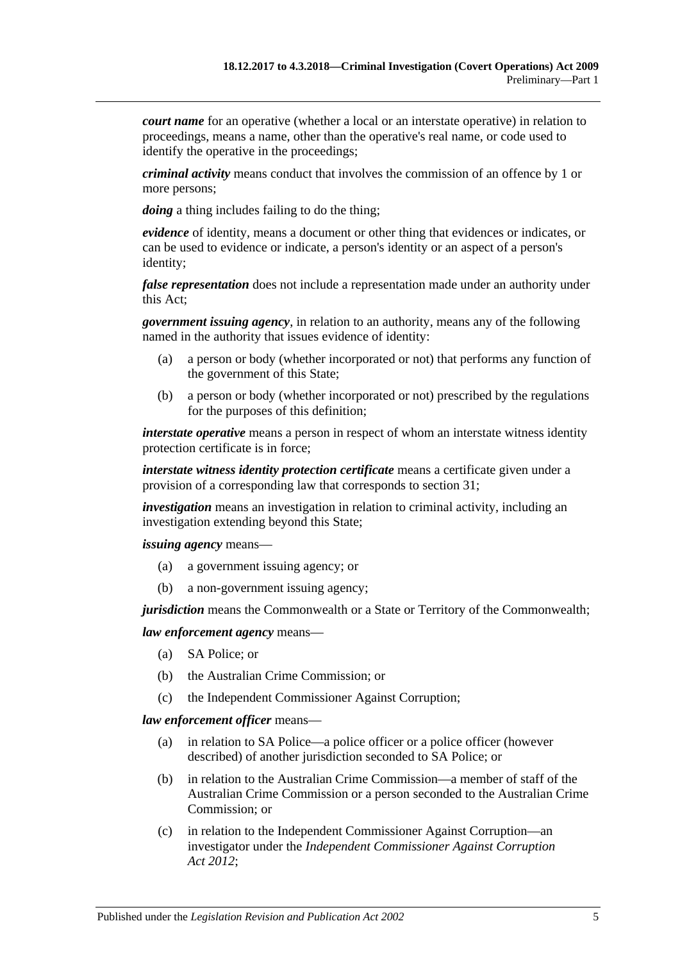*court name* for an operative (whether a local or an interstate operative) in relation to proceedings, means a name, other than the operative's real name, or code used to identify the operative in the proceedings;

*criminal activity* means conduct that involves the commission of an offence by 1 or more persons;

*doing* a thing includes failing to do the thing;

*evidence* of identity, means a document or other thing that evidences or indicates, or can be used to evidence or indicate, a person's identity or an aspect of a person's identity;

*false representation* does not include a representation made under an authority under this Act;

*government issuing agency*, in relation to an authority, means any of the following named in the authority that issues evidence of identity:

- (a) a person or body (whether incorporated or not) that performs any function of the government of this State;
- (b) a person or body (whether incorporated or not) prescribed by the regulations for the purposes of this definition;

*interstate operative* means a person in respect of whom an interstate witness identity protection certificate is in force;

*interstate witness identity protection certificate* means a certificate given under a provision of a corresponding law that corresponds to [section](#page-19-1) 31;

*investigation* means an investigation in relation to criminal activity, including an investigation extending beyond this State;

*issuing agency* means—

- (a) a government issuing agency; or
- (b) a non-government issuing agency;

*jurisdiction* means the Commonwealth or a State or Territory of the Commonwealth;

#### *law enforcement agency* means—

- (a) SA Police; or
- (b) the Australian Crime Commission; or
- (c) the Independent Commissioner Against Corruption;

#### *law enforcement officer* means—

- (a) in relation to SA Police—a police officer or a police officer (however described) of another jurisdiction seconded to SA Police; or
- (b) in relation to the Australian Crime Commission—a member of staff of the Australian Crime Commission or a person seconded to the Australian Crime Commission; or
- (c) in relation to the Independent Commissioner Against Corruption—an investigator under the *[Independent Commissioner Against Corruption](http://www.legislation.sa.gov.au/index.aspx?action=legref&type=act&legtitle=Independent%20Commissioner%20Against%20Corruption%20Act%202012)  Act [2012](http://www.legislation.sa.gov.au/index.aspx?action=legref&type=act&legtitle=Independent%20Commissioner%20Against%20Corruption%20Act%202012)*;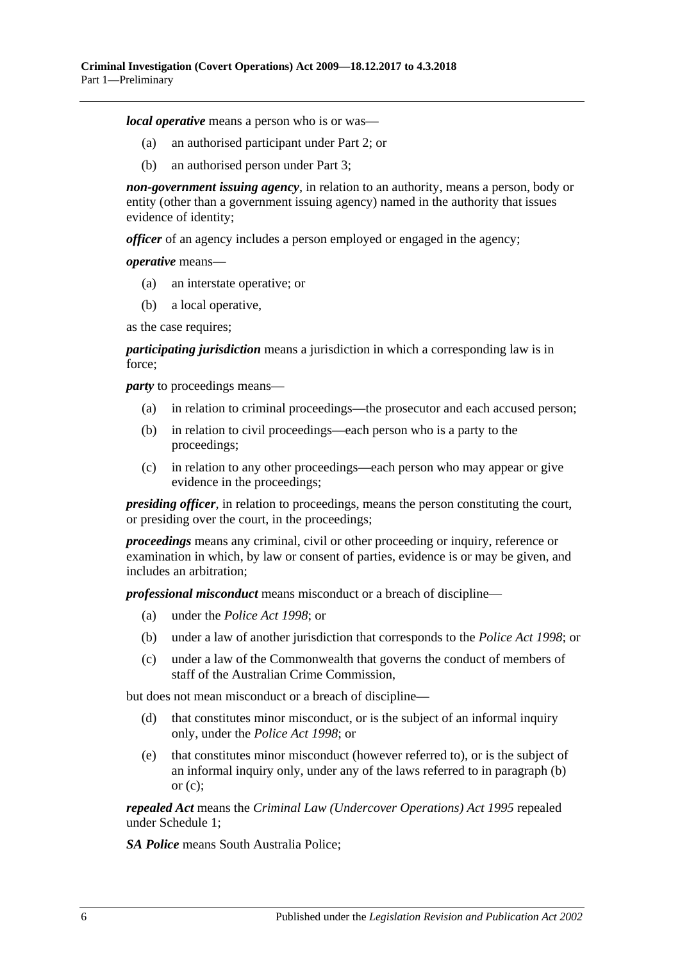*local operative* means a person who is or was—

- (a) an authorised participant under [Part 2;](#page-6-0) or
- (b) an authorised person under [Part 3;](#page-8-1)

*non-government issuing agency*, in relation to an authority, means a person, body or entity (other than a government issuing agency) named in the authority that issues evidence of identity;

*officer* of an agency includes a person employed or engaged in the agency;

*operative* means—

- (a) an interstate operative; or
- (b) a local operative,

as the case requires;

*participating jurisdiction* means a jurisdiction in which a corresponding law is in force;

<span id="page-5-0"></span>*party* to proceedings means—

- (a) in relation to criminal proceedings—the prosecutor and each accused person;
- (b) in relation to civil proceedings—each person who is a party to the proceedings;
- <span id="page-5-1"></span>(c) in relation to any other proceedings—each person who may appear or give evidence in the proceedings;

*presiding officer*, in relation to proceedings, means the person constituting the court, or presiding over the court, in the proceedings;

*proceedings* means any criminal, civil or other proceeding or inquiry, reference or examination in which, by law or consent of parties, evidence is or may be given, and includes an arbitration;

*professional misconduct* means misconduct or a breach of discipline—

- (a) under the *[Police Act](http://www.legislation.sa.gov.au/index.aspx?action=legref&type=act&legtitle=Police%20Act%201998) 1998*; or
- (b) under a law of another jurisdiction that corresponds to the *[Police Act](http://www.legislation.sa.gov.au/index.aspx?action=legref&type=act&legtitle=Police%20Act%201998) 1998*; or
- (c) under a law of the Commonwealth that governs the conduct of members of staff of the Australian Crime Commission,

but does not mean misconduct or a breach of discipline—

- (d) that constitutes minor misconduct, or is the subject of an informal inquiry only, under the *[Police Act](http://www.legislation.sa.gov.au/index.aspx?action=legref&type=act&legtitle=Police%20Act%201998) 1998*; or
- (e) that constitutes minor misconduct (however referred to), or is the subject of an informal inquiry only, under any of the laws referred to in [paragraph](#page-5-0) (b) or  $(c)$ :

*repealed Act* means the *Criminal [Law \(Undercover Operations\) Act](http://www.legislation.sa.gov.au/index.aspx?action=legref&type=act&legtitle=Criminal%20Law%20(Undercover%20Operations)%20Act%201995) 1995* repealed under [Schedule 1;](#page-28-1)

*SA Police* means South Australia Police;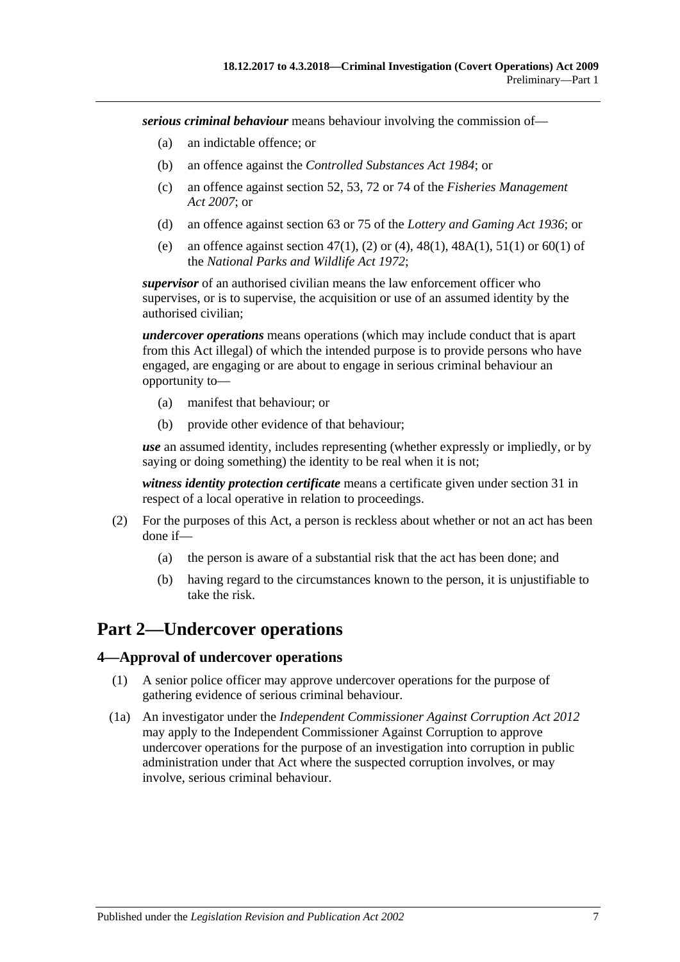*serious criminal behaviour* means behaviour involving the commission of—

- (a) an indictable offence; or
- (b) an offence against the *[Controlled Substances Act](http://www.legislation.sa.gov.au/index.aspx?action=legref&type=act&legtitle=Controlled%20Substances%20Act%201984) 1984*; or
- (c) an offence against section 52, 53, 72 or 74 of the *[Fisheries Management](http://www.legislation.sa.gov.au/index.aspx?action=legref&type=act&legtitle=Fisheries%20Management%20Act%202007)  Act [2007](http://www.legislation.sa.gov.au/index.aspx?action=legref&type=act&legtitle=Fisheries%20Management%20Act%202007)*; or
- (d) an offence against section 63 or 75 of the *[Lottery and Gaming Act](http://www.legislation.sa.gov.au/index.aspx?action=legref&type=act&legtitle=Lottery%20and%20Gaming%20Act%201936) 1936*; or
- (e) an offence against section 47(1), (2) or (4), 48(1), 48A(1), 51(1) or 60(1) of the *[National Parks and Wildlife Act](http://www.legislation.sa.gov.au/index.aspx?action=legref&type=act&legtitle=National%20Parks%20and%20Wildlife%20Act%201972) 1972*;

*supervisor* of an authorised civilian means the law enforcement officer who supervises, or is to supervise, the acquisition or use of an assumed identity by the authorised civilian;

*undercover operations* means operations (which may include conduct that is apart from this Act illegal) of which the intended purpose is to provide persons who have engaged, are engaging or are about to engage in serious criminal behaviour an opportunity to—

- (a) manifest that behaviour; or
- (b) provide other evidence of that behaviour;

*use* an assumed identity, includes representing (whether expressly or impliedly, or by saying or doing something) the identity to be real when it is not;

*witness identity protection certificate* means a certificate given under [section](#page-19-1) 31 in respect of a local operative in relation to proceedings.

- (2) For the purposes of this Act, a person is reckless about whether or not an act has been done if—
	- (a) the person is aware of a substantial risk that the act has been done; and
	- (b) having regard to the circumstances known to the person, it is unjustifiable to take the risk.

### <span id="page-6-0"></span>**Part 2—Undercover operations**

### <span id="page-6-1"></span>**4—Approval of undercover operations**

- (1) A senior police officer may approve undercover operations for the purpose of gathering evidence of serious criminal behaviour.
- (1a) An investigator under the *[Independent Commissioner Against](http://www.legislation.sa.gov.au/index.aspx?action=legref&type=act&legtitle=Independent%20Commissioner%20Against%20Corruption%20Act%202012) Corruption Act 2012* may apply to the Independent Commissioner Against Corruption to approve undercover operations for the purpose of an investigation into corruption in public administration under that Act where the suspected corruption involves, or may involve, serious criminal behaviour.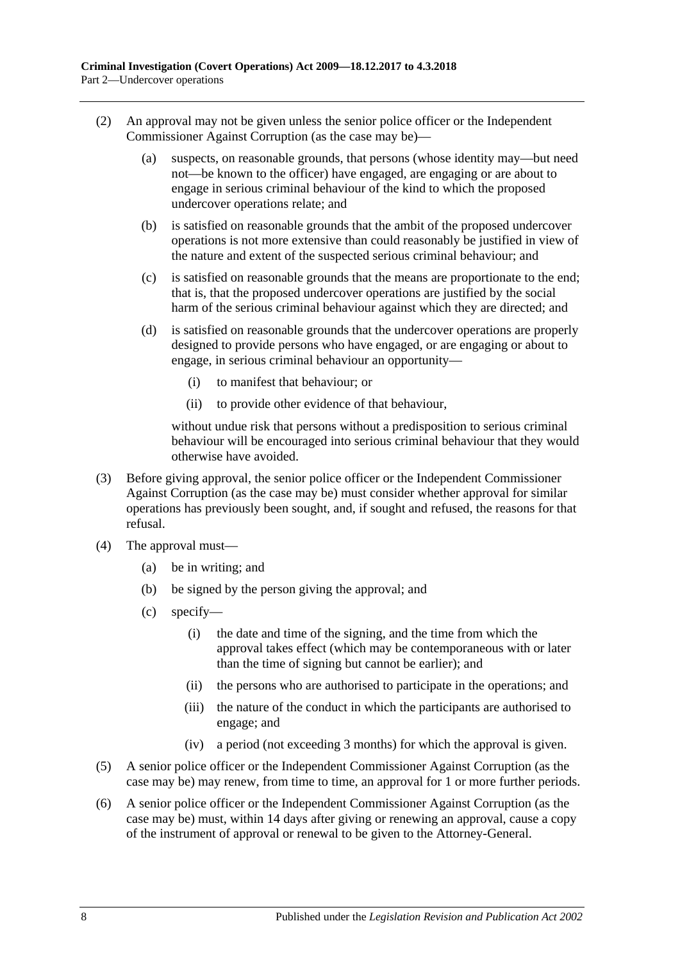- (2) An approval may not be given unless the senior police officer or the Independent Commissioner Against Corruption (as the case may be)—
	- (a) suspects, on reasonable grounds, that persons (whose identity may—but need not—be known to the officer) have engaged, are engaging or are about to engage in serious criminal behaviour of the kind to which the proposed undercover operations relate; and
	- (b) is satisfied on reasonable grounds that the ambit of the proposed undercover operations is not more extensive than could reasonably be justified in view of the nature and extent of the suspected serious criminal behaviour; and
	- (c) is satisfied on reasonable grounds that the means are proportionate to the end; that is, that the proposed undercover operations are justified by the social harm of the serious criminal behaviour against which they are directed; and
	- (d) is satisfied on reasonable grounds that the undercover operations are properly designed to provide persons who have engaged, or are engaging or about to engage, in serious criminal behaviour an opportunity—
		- (i) to manifest that behaviour; or
		- (ii) to provide other evidence of that behaviour,

without undue risk that persons without a predisposition to serious criminal behaviour will be encouraged into serious criminal behaviour that they would otherwise have avoided.

- (3) Before giving approval, the senior police officer or the Independent Commissioner Against Corruption (as the case may be) must consider whether approval for similar operations has previously been sought, and, if sought and refused, the reasons for that refusal.
- (4) The approval must—
	- (a) be in writing; and
	- (b) be signed by the person giving the approval; and
	- (c) specify—
		- (i) the date and time of the signing, and the time from which the approval takes effect (which may be contemporaneous with or later than the time of signing but cannot be earlier); and
		- (ii) the persons who are authorised to participate in the operations; and
		- (iii) the nature of the conduct in which the participants are authorised to engage; and
		- (iv) a period (not exceeding 3 months) for which the approval is given.
- (5) A senior police officer or the Independent Commissioner Against Corruption (as the case may be) may renew, from time to time, an approval for 1 or more further periods.
- (6) A senior police officer or the Independent Commissioner Against Corruption (as the case may be) must, within 14 days after giving or renewing an approval, cause a copy of the instrument of approval or renewal to be given to the Attorney-General.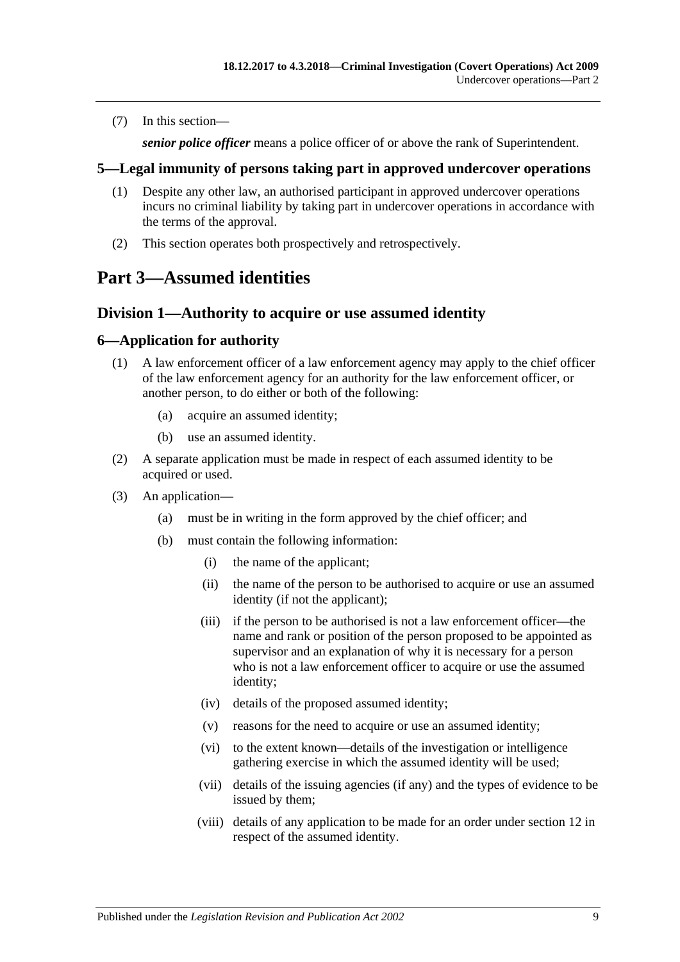(7) In this section—

*senior police officer* means a police officer of or above the rank of Superintendent.

### <span id="page-8-0"></span>**5—Legal immunity of persons taking part in approved undercover operations**

- (1) Despite any other law, an authorised participant in approved undercover operations incurs no criminal liability by taking part in undercover operations in accordance with the terms of the approval.
- (2) This section operates both prospectively and retrospectively.

### <span id="page-8-2"></span><span id="page-8-1"></span>**Part 3—Assumed identities**

### **Division 1—Authority to acquire or use assumed identity**

### <span id="page-8-3"></span>**6—Application for authority**

- (1) A law enforcement officer of a law enforcement agency may apply to the chief officer of the law enforcement agency for an authority for the law enforcement officer, or another person, to do either or both of the following:
	- (a) acquire an assumed identity;
	- (b) use an assumed identity.
- (2) A separate application must be made in respect of each assumed identity to be acquired or used.
- (3) An application—
	- (a) must be in writing in the form approved by the chief officer; and
	- (b) must contain the following information:
		- (i) the name of the applicant;
		- (ii) the name of the person to be authorised to acquire or use an assumed identity (if not the applicant);
		- (iii) if the person to be authorised is not a law enforcement officer—the name and rank or position of the person proposed to be appointed as supervisor and an explanation of why it is necessary for a person who is not a law enforcement officer to acquire or use the assumed identity;
		- (iv) details of the proposed assumed identity;
		- (v) reasons for the need to acquire or use an assumed identity;
		- (vi) to the extent known—details of the investigation or intelligence gathering exercise in which the assumed identity will be used;
		- (vii) details of the issuing agencies (if any) and the types of evidence to be issued by them;
		- (viii) details of any application to be made for an order under [section](#page-11-1) 12 in respect of the assumed identity.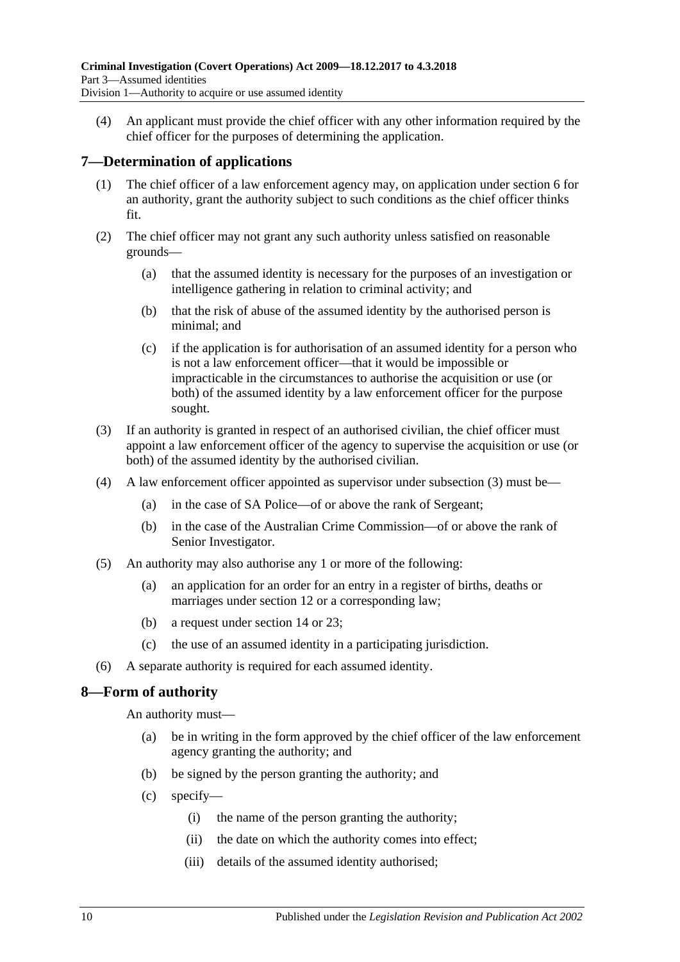(4) An applicant must provide the chief officer with any other information required by the chief officer for the purposes of determining the application.

### <span id="page-9-0"></span>**7—Determination of applications**

- (1) The chief officer of a law enforcement agency may, on application under [section](#page-8-3) 6 for an authority, grant the authority subject to such conditions as the chief officer thinks fit.
- (2) The chief officer may not grant any such authority unless satisfied on reasonable grounds—
	- (a) that the assumed identity is necessary for the purposes of an investigation or intelligence gathering in relation to criminal activity; and
	- (b) that the risk of abuse of the assumed identity by the authorised person is minimal; and
	- (c) if the application is for authorisation of an assumed identity for a person who is not a law enforcement officer—that it would be impossible or impracticable in the circumstances to authorise the acquisition or use (or both) of the assumed identity by a law enforcement officer for the purpose sought.
- <span id="page-9-2"></span>(3) If an authority is granted in respect of an authorised civilian, the chief officer must appoint a law enforcement officer of the agency to supervise the acquisition or use (or both) of the assumed identity by the authorised civilian.
- (4) A law enforcement officer appointed as supervisor under [subsection](#page-9-2) (3) must be—
	- (a) in the case of SA Police—of or above the rank of Sergeant;
	- (b) in the case of the Australian Crime Commission—of or above the rank of Senior Investigator.
- (5) An authority may also authorise any 1 or more of the following:
	- (a) an application for an order for an entry in a register of births, deaths or marriages under [section](#page-11-1) 12 or a corresponding law;
	- (b) a request under [section](#page-12-1) 14 or [23;](#page-14-4)
	- (c) the use of an assumed identity in a participating jurisdiction.
- (6) A separate authority is required for each assumed identity.

### <span id="page-9-1"></span>**8—Form of authority**

An authority must—

- (a) be in writing in the form approved by the chief officer of the law enforcement agency granting the authority; and
- (b) be signed by the person granting the authority; and
- (c) specify—
	- (i) the name of the person granting the authority;
	- (ii) the date on which the authority comes into effect;
	- (iii) details of the assumed identity authorised;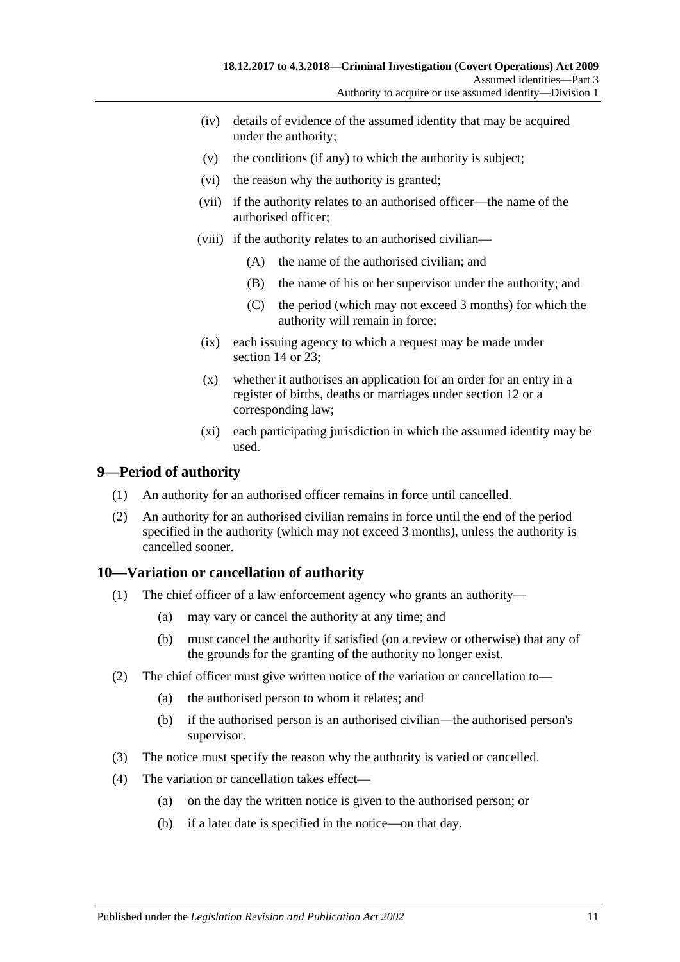- (iv) details of evidence of the assumed identity that may be acquired under the authority;
- (v) the conditions (if any) to which the authority is subject;
- (vi) the reason why the authority is granted;
- (vii) if the authority relates to an authorised officer—the name of the authorised officer;
- (viii) if the authority relates to an authorised civilian—
	- (A) the name of the authorised civilian; and
	- (B) the name of his or her supervisor under the authority; and
	- (C) the period (which may not exceed 3 months) for which the authority will remain in force;
- (ix) each issuing agency to which a request may be made under [section](#page-12-1) 14 or 23:
- (x) whether it authorises an application for an order for an entry in a register of births, deaths or marriages under [section](#page-11-1) 12 or a corresponding law;
- (xi) each participating jurisdiction in which the assumed identity may be used.

### <span id="page-10-0"></span>**9—Period of authority**

- (1) An authority for an authorised officer remains in force until cancelled.
- (2) An authority for an authorised civilian remains in force until the end of the period specified in the authority (which may not exceed 3 months), unless the authority is cancelled sooner.

### <span id="page-10-1"></span>**10—Variation or cancellation of authority**

- (1) The chief officer of a law enforcement agency who grants an authority—
	- (a) may vary or cancel the authority at any time; and
	- (b) must cancel the authority if satisfied (on a review or otherwise) that any of the grounds for the granting of the authority no longer exist.
- (2) The chief officer must give written notice of the variation or cancellation to—
	- (a) the authorised person to whom it relates; and
	- (b) if the authorised person is an authorised civilian—the authorised person's supervisor.
- (3) The notice must specify the reason why the authority is varied or cancelled.
- (4) The variation or cancellation takes effect—
	- (a) on the day the written notice is given to the authorised person; or
	- (b) if a later date is specified in the notice—on that day.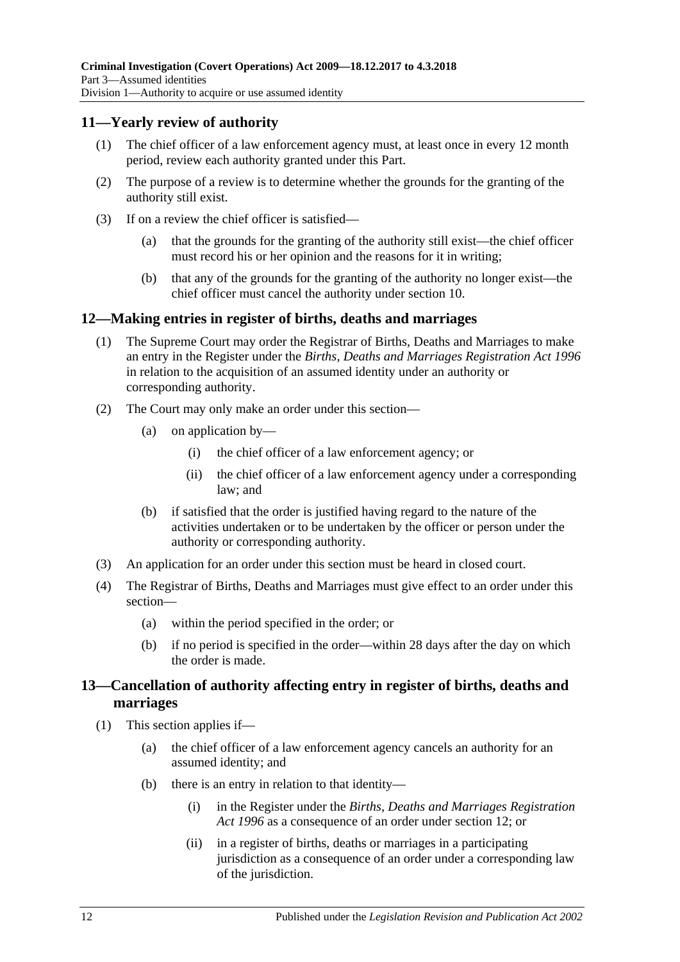### <span id="page-11-0"></span>**11—Yearly review of authority**

- (1) The chief officer of a law enforcement agency must, at least once in every 12 month period, review each authority granted under this Part.
- (2) The purpose of a review is to determine whether the grounds for the granting of the authority still exist.
- (3) If on a review the chief officer is satisfied—
	- (a) that the grounds for the granting of the authority still exist—the chief officer must record his or her opinion and the reasons for it in writing;
	- (b) that any of the grounds for the granting of the authority no longer exist—the chief officer must cancel the authority under [section](#page-10-1) 10.

### <span id="page-11-1"></span>**12—Making entries in register of births, deaths and marriages**

- (1) The Supreme Court may order the Registrar of Births, Deaths and Marriages to make an entry in the Register under the *[Births, Deaths and Marriages Registration Act](http://www.legislation.sa.gov.au/index.aspx?action=legref&type=act&legtitle=Births%20Deaths%20and%20Marriages%20Registration%20Act%201996) 1996* in relation to the acquisition of an assumed identity under an authority or corresponding authority.
- (2) The Court may only make an order under this section—
	- (a) on application by—
		- (i) the chief officer of a law enforcement agency; or
		- (ii) the chief officer of a law enforcement agency under a corresponding law; and
	- (b) if satisfied that the order is justified having regard to the nature of the activities undertaken or to be undertaken by the officer or person under the authority or corresponding authority.
- (3) An application for an order under this section must be heard in closed court.
- (4) The Registrar of Births, Deaths and Marriages must give effect to an order under this section—
	- (a) within the period specified in the order; or
	- (b) if no period is specified in the order—within 28 days after the day on which the order is made.

### <span id="page-11-2"></span>**13—Cancellation of authority affecting entry in register of births, deaths and marriages**

- <span id="page-11-4"></span><span id="page-11-3"></span>(1) This section applies if—
	- (a) the chief officer of a law enforcement agency cancels an authority for an assumed identity; and
	- (b) there is an entry in relation to that identity—
		- (i) in the Register under the *[Births, Deaths and Marriages Registration](http://www.legislation.sa.gov.au/index.aspx?action=legref&type=act&legtitle=Births%20Deaths%20and%20Marriages%20Registration%20Act%201996)  Act [1996](http://www.legislation.sa.gov.au/index.aspx?action=legref&type=act&legtitle=Births%20Deaths%20and%20Marriages%20Registration%20Act%201996)* as a consequence of an order under [section](#page-11-1) 12; or
		- (ii) in a register of births, deaths or marriages in a participating jurisdiction as a consequence of an order under a corresponding law of the jurisdiction.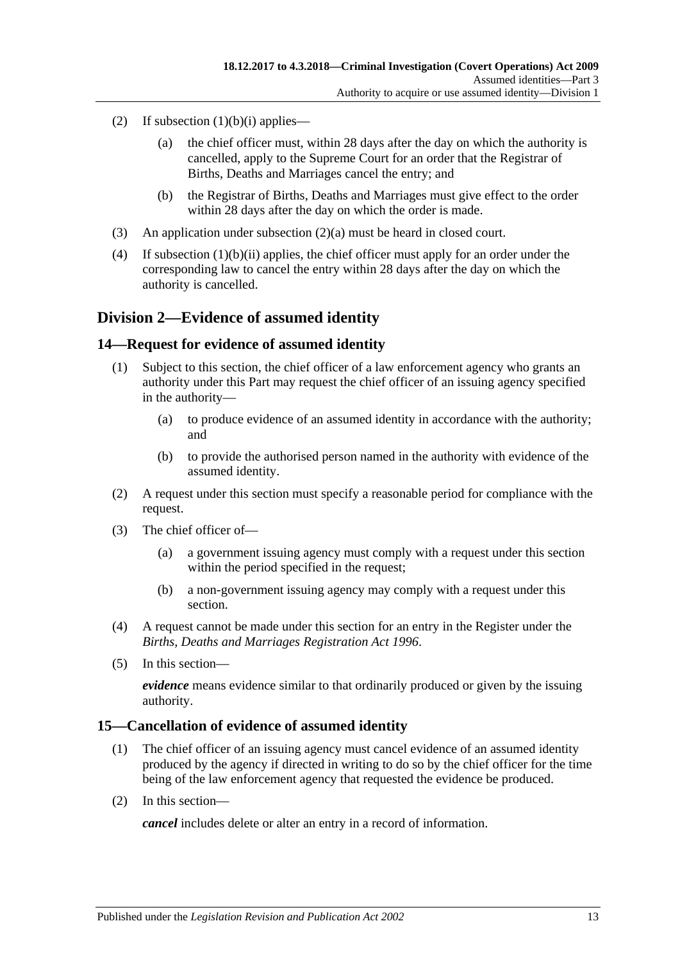- <span id="page-12-3"></span>(2) If [subsection](#page-11-3)  $(1)(b)(i)$  applies—
	- (a) the chief officer must, within 28 days after the day on which the authority is cancelled, apply to the Supreme Court for an order that the Registrar of Births, Deaths and Marriages cancel the entry; and
	- (b) the Registrar of Births, Deaths and Marriages must give effect to the order within 28 days after the day on which the order is made.
- (3) An application under [subsection](#page-12-3) (2)(a) must be heard in closed court.
- (4) If [subsection](#page-11-4) (1)(b)(ii) applies, the chief officer must apply for an order under the corresponding law to cancel the entry within 28 days after the day on which the authority is cancelled.

### <span id="page-12-0"></span>**Division 2—Evidence of assumed identity**

### <span id="page-12-1"></span>**14—Request for evidence of assumed identity**

- (1) Subject to this section, the chief officer of a law enforcement agency who grants an authority under this Part may request the chief officer of an issuing agency specified in the authority—
	- (a) to produce evidence of an assumed identity in accordance with the authority; and
	- (b) to provide the authorised person named in the authority with evidence of the assumed identity.
- (2) A request under this section must specify a reasonable period for compliance with the request.
- (3) The chief officer of—
	- (a) a government issuing agency must comply with a request under this section within the period specified in the request;
	- (b) a non-government issuing agency may comply with a request under this section.
- (4) A request cannot be made under this section for an entry in the Register under the *[Births, Deaths and Marriages Registration Act](http://www.legislation.sa.gov.au/index.aspx?action=legref&type=act&legtitle=Births%20Deaths%20and%20Marriages%20Registration%20Act%201996) 1996*.
- (5) In this section—

*evidence* means evidence similar to that ordinarily produced or given by the issuing authority.

### <span id="page-12-2"></span>**15—Cancellation of evidence of assumed identity**

- (1) The chief officer of an issuing agency must cancel evidence of an assumed identity produced by the agency if directed in writing to do so by the chief officer for the time being of the law enforcement agency that requested the evidence be produced.
- (2) In this section—

*cancel* includes delete or alter an entry in a record of information.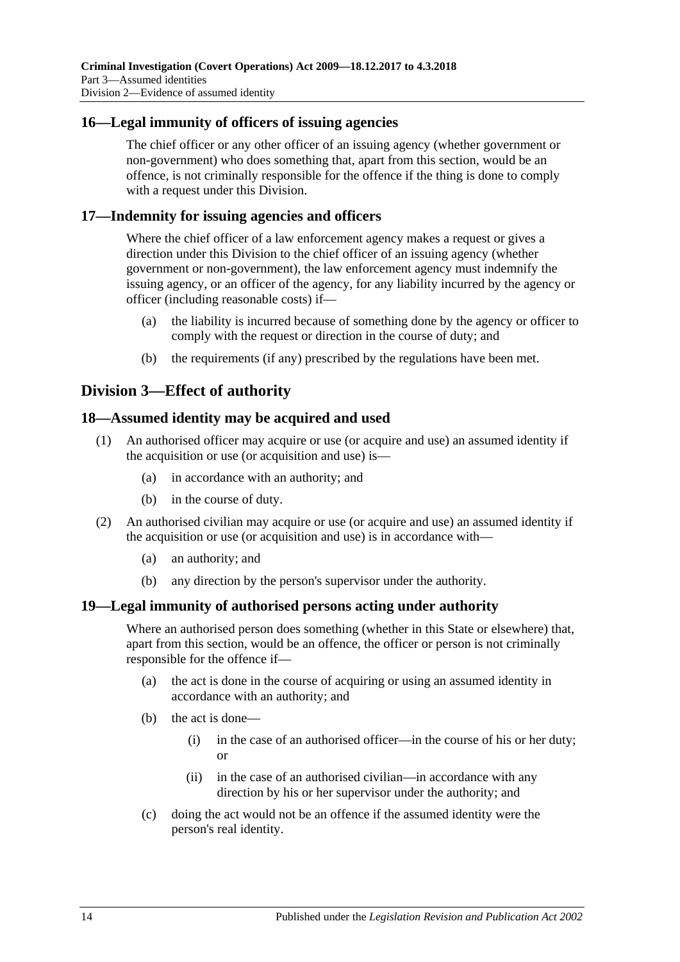### <span id="page-13-0"></span>**16—Legal immunity of officers of issuing agencies**

The chief officer or any other officer of an issuing agency (whether government or non-government) who does something that, apart from this section, would be an offence, is not criminally responsible for the offence if the thing is done to comply with a request under this Division.

### <span id="page-13-1"></span>**17—Indemnity for issuing agencies and officers**

Where the chief officer of a law enforcement agency makes a request or gives a direction under this Division to the chief officer of an issuing agency (whether government or non-government), the law enforcement agency must indemnify the issuing agency, or an officer of the agency, for any liability incurred by the agency or officer (including reasonable costs) if—

- (a) the liability is incurred because of something done by the agency or officer to comply with the request or direction in the course of duty; and
- (b) the requirements (if any) prescribed by the regulations have been met.

### <span id="page-13-2"></span>**Division 3—Effect of authority**

### <span id="page-13-3"></span>**18—Assumed identity may be acquired and used**

- (1) An authorised officer may acquire or use (or acquire and use) an assumed identity if the acquisition or use (or acquisition and use) is—
	- (a) in accordance with an authority; and
	- (b) in the course of duty.
- (2) An authorised civilian may acquire or use (or acquire and use) an assumed identity if the acquisition or use (or acquisition and use) is in accordance with—
	- (a) an authority; and
	- (b) any direction by the person's supervisor under the authority.

### <span id="page-13-4"></span>**19—Legal immunity of authorised persons acting under authority**

Where an authorised person does something (whether in this State or elsewhere) that, apart from this section, would be an offence, the officer or person is not criminally responsible for the offence if—

- (a) the act is done in the course of acquiring or using an assumed identity in accordance with an authority; and
- (b) the act is done—
	- (i) in the case of an authorised officer—in the course of his or her duty; or
	- (ii) in the case of an authorised civilian—in accordance with any direction by his or her supervisor under the authority; and
- (c) doing the act would not be an offence if the assumed identity were the person's real identity.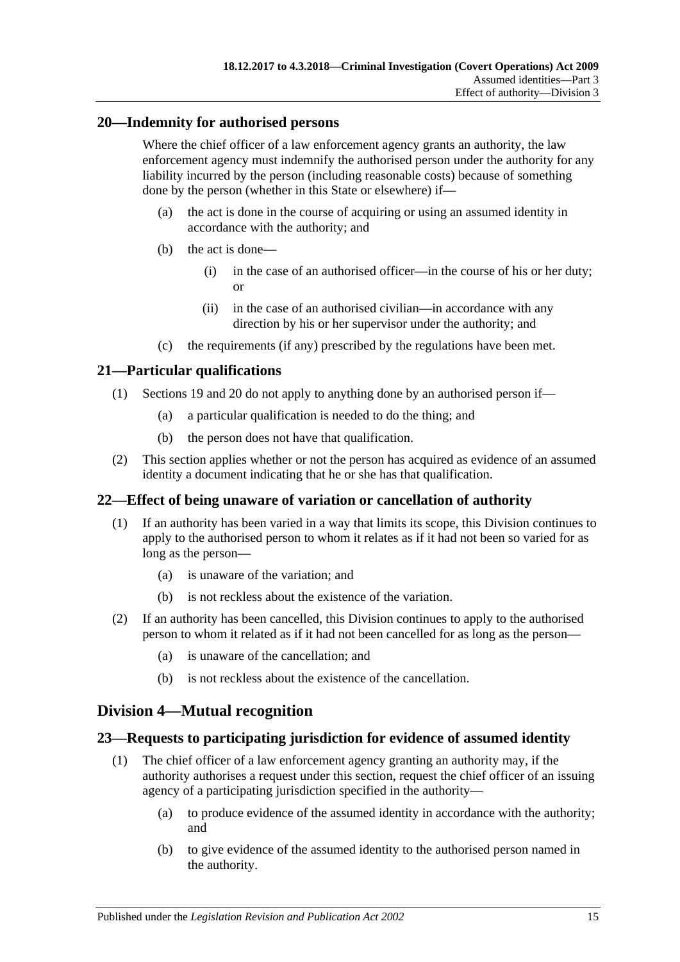### <span id="page-14-0"></span>**20—Indemnity for authorised persons**

Where the chief officer of a law enforcement agency grants an authority, the law enforcement agency must indemnify the authorised person under the authority for any liability incurred by the person (including reasonable costs) because of something done by the person (whether in this State or elsewhere) if—

- (a) the act is done in the course of acquiring or using an assumed identity in accordance with the authority; and
- (b) the act is done—
	- (i) in the case of an authorised officer—in the course of his or her duty; or
	- (ii) in the case of an authorised civilian—in accordance with any direction by his or her supervisor under the authority; and
- (c) the requirements (if any) prescribed by the regulations have been met.

### <span id="page-14-1"></span>**21—Particular qualifications**

- (1) [Sections 19](#page-13-4) and [20](#page-14-0) do not apply to anything done by an authorised person if—
	- (a) a particular qualification is needed to do the thing; and
	- (b) the person does not have that qualification.
- (2) This section applies whether or not the person has acquired as evidence of an assumed identity a document indicating that he or she has that qualification.

### <span id="page-14-2"></span>**22—Effect of being unaware of variation or cancellation of authority**

- (1) If an authority has been varied in a way that limits its scope, this Division continues to apply to the authorised person to whom it relates as if it had not been so varied for as long as the person—
	- (a) is unaware of the variation; and
	- (b) is not reckless about the existence of the variation.
- (2) If an authority has been cancelled, this Division continues to apply to the authorised person to whom it related as if it had not been cancelled for as long as the person—
	- (a) is unaware of the cancellation; and
	- (b) is not reckless about the existence of the cancellation.

### <span id="page-14-3"></span>**Division 4—Mutual recognition**

### <span id="page-14-4"></span>**23—Requests to participating jurisdiction for evidence of assumed identity**

- (1) The chief officer of a law enforcement agency granting an authority may, if the authority authorises a request under this section, request the chief officer of an issuing agency of a participating jurisdiction specified in the authority—
	- (a) to produce evidence of the assumed identity in accordance with the authority; and
	- (b) to give evidence of the assumed identity to the authorised person named in the authority.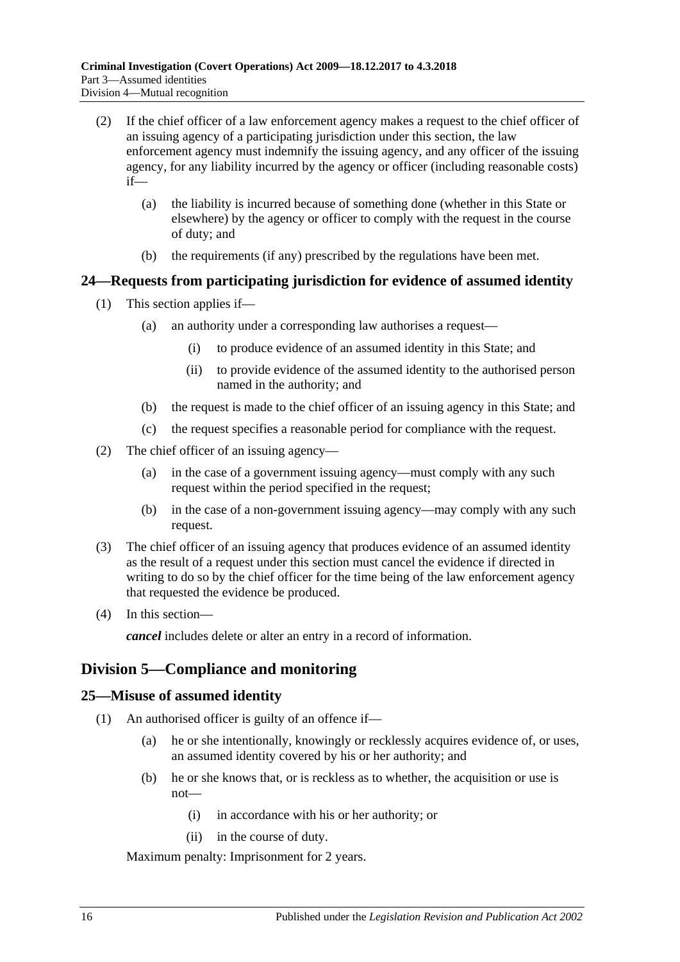- (2) If the chief officer of a law enforcement agency makes a request to the chief officer of an issuing agency of a participating jurisdiction under this section, the law enforcement agency must indemnify the issuing agency, and any officer of the issuing agency, for any liability incurred by the agency or officer (including reasonable costs) if—
	- (a) the liability is incurred because of something done (whether in this State or elsewhere) by the agency or officer to comply with the request in the course of duty; and
	- (b) the requirements (if any) prescribed by the regulations have been met.

### <span id="page-15-0"></span>**24—Requests from participating jurisdiction for evidence of assumed identity**

- (1) This section applies if—
	- (a) an authority under a corresponding law authorises a request—
		- (i) to produce evidence of an assumed identity in this State; and
		- (ii) to provide evidence of the assumed identity to the authorised person named in the authority; and
	- (b) the request is made to the chief officer of an issuing agency in this State; and
	- (c) the request specifies a reasonable period for compliance with the request.
- (2) The chief officer of an issuing agency—
	- (a) in the case of a government issuing agency—must comply with any such request within the period specified in the request;
	- (b) in the case of a non-government issuing agency—may comply with any such request.
- (3) The chief officer of an issuing agency that produces evidence of an assumed identity as the result of a request under this section must cancel the evidence if directed in writing to do so by the chief officer for the time being of the law enforcement agency that requested the evidence be produced.
- (4) In this section—

*cancel* includes delete or alter an entry in a record of information.

### <span id="page-15-1"></span>**Division 5—Compliance and monitoring**

### <span id="page-15-2"></span>**25—Misuse of assumed identity**

- (1) An authorised officer is guilty of an offence if—
	- (a) he or she intentionally, knowingly or recklessly acquires evidence of, or uses, an assumed identity covered by his or her authority; and
	- (b) he or she knows that, or is reckless as to whether, the acquisition or use is not—
		- (i) in accordance with his or her authority; or
		- (ii) in the course of duty.

Maximum penalty: Imprisonment for 2 years.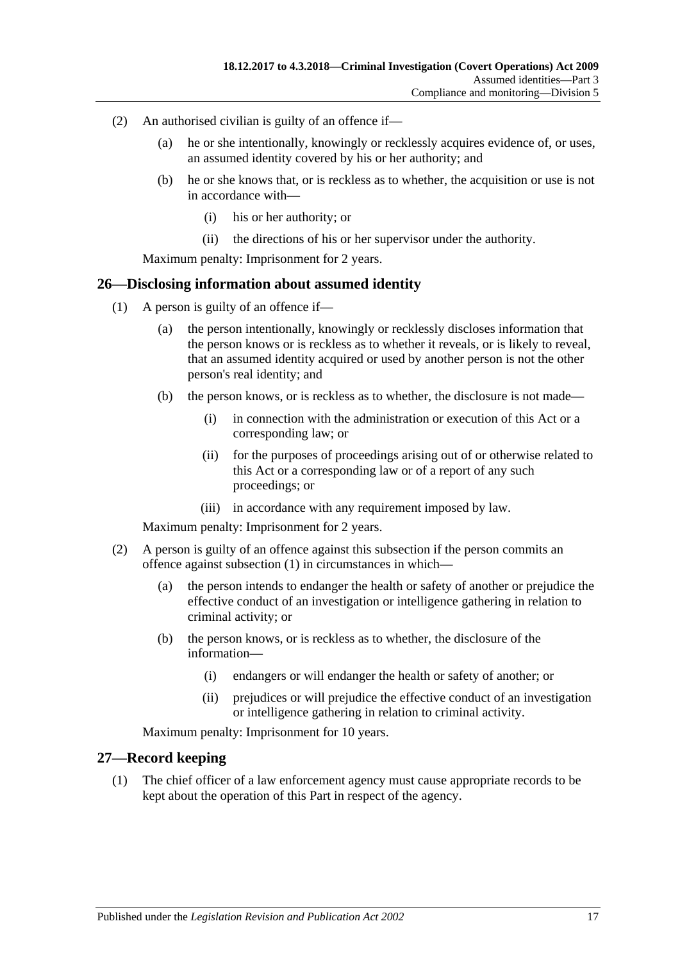- (2) An authorised civilian is guilty of an offence if—
	- (a) he or she intentionally, knowingly or recklessly acquires evidence of, or uses, an assumed identity covered by his or her authority; and
	- (b) he or she knows that, or is reckless as to whether, the acquisition or use is not in accordance with—
		- (i) his or her authority; or
		- (ii) the directions of his or her supervisor under the authority.

Maximum penalty: Imprisonment for 2 years.

### <span id="page-16-2"></span><span id="page-16-0"></span>**26—Disclosing information about assumed identity**

- (1) A person is guilty of an offence if—
	- (a) the person intentionally, knowingly or recklessly discloses information that the person knows or is reckless as to whether it reveals, or is likely to reveal, that an assumed identity acquired or used by another person is not the other person's real identity; and
	- (b) the person knows, or is reckless as to whether, the disclosure is not made—
		- (i) in connection with the administration or execution of this Act or a corresponding law; or
		- (ii) for the purposes of proceedings arising out of or otherwise related to this Act or a corresponding law or of a report of any such proceedings; or
		- (iii) in accordance with any requirement imposed by law.

Maximum penalty: Imprisonment for 2 years.

- (2) A person is guilty of an offence against this subsection if the person commits an offence against [subsection](#page-16-2) (1) in circumstances in which—
	- (a) the person intends to endanger the health or safety of another or prejudice the effective conduct of an investigation or intelligence gathering in relation to criminal activity; or
	- (b) the person knows, or is reckless as to whether, the disclosure of the information—
		- (i) endangers or will endanger the health or safety of another; or
		- (ii) prejudices or will prejudice the effective conduct of an investigation or intelligence gathering in relation to criminal activity.

Maximum penalty: Imprisonment for 10 years.

### <span id="page-16-3"></span><span id="page-16-1"></span>**27—Record keeping**

(1) The chief officer of a law enforcement agency must cause appropriate records to be kept about the operation of this Part in respect of the agency.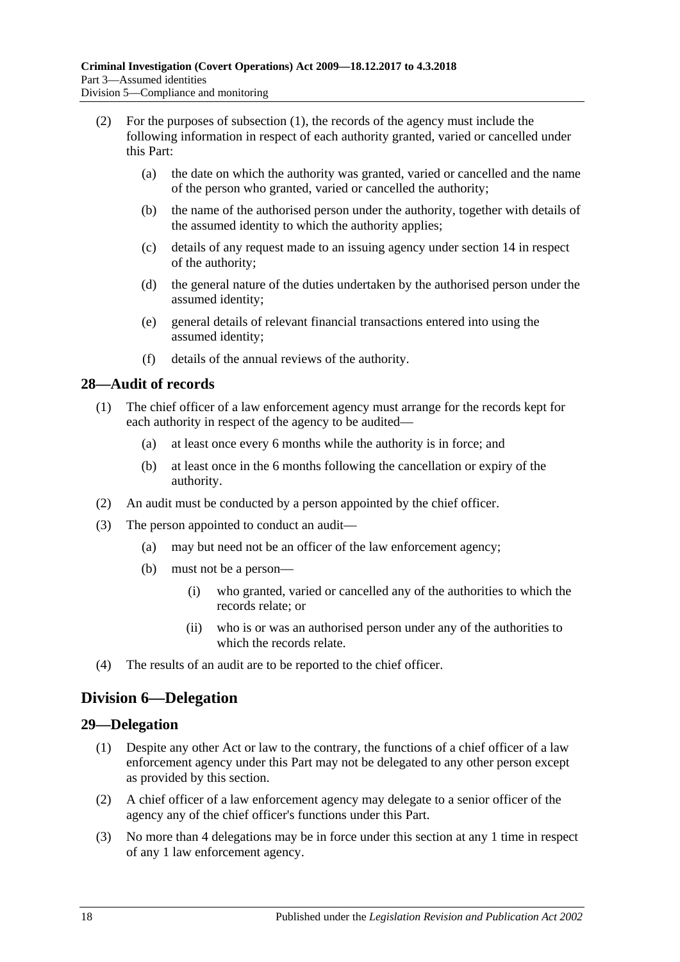- (2) For the purposes of [subsection](#page-16-3) (1), the records of the agency must include the following information in respect of each authority granted, varied or cancelled under this Part:
	- (a) the date on which the authority was granted, varied or cancelled and the name of the person who granted, varied or cancelled the authority;
	- (b) the name of the authorised person under the authority, together with details of the assumed identity to which the authority applies;
	- (c) details of any request made to an issuing agency under [section](#page-12-1) 14 in respect of the authority;
	- (d) the general nature of the duties undertaken by the authorised person under the assumed identity;
	- (e) general details of relevant financial transactions entered into using the assumed identity;
	- (f) details of the annual reviews of the authority.

### <span id="page-17-0"></span>**28—Audit of records**

- (1) The chief officer of a law enforcement agency must arrange for the records kept for each authority in respect of the agency to be audited—
	- (a) at least once every 6 months while the authority is in force; and
	- (b) at least once in the 6 months following the cancellation or expiry of the authority.
- (2) An audit must be conducted by a person appointed by the chief officer.
- (3) The person appointed to conduct an audit—
	- (a) may but need not be an officer of the law enforcement agency;
	- (b) must not be a person—
		- (i) who granted, varied or cancelled any of the authorities to which the records relate; or
		- (ii) who is or was an authorised person under any of the authorities to which the records relate.
- (4) The results of an audit are to be reported to the chief officer.

### <span id="page-17-1"></span>**Division 6—Delegation**

### <span id="page-17-2"></span>**29—Delegation**

- (1) Despite any other Act or law to the contrary, the functions of a chief officer of a law enforcement agency under this Part may not be delegated to any other person except as provided by this section.
- (2) A chief officer of a law enforcement agency may delegate to a senior officer of the agency any of the chief officer's functions under this Part.
- (3) No more than 4 delegations may be in force under this section at any 1 time in respect of any 1 law enforcement agency.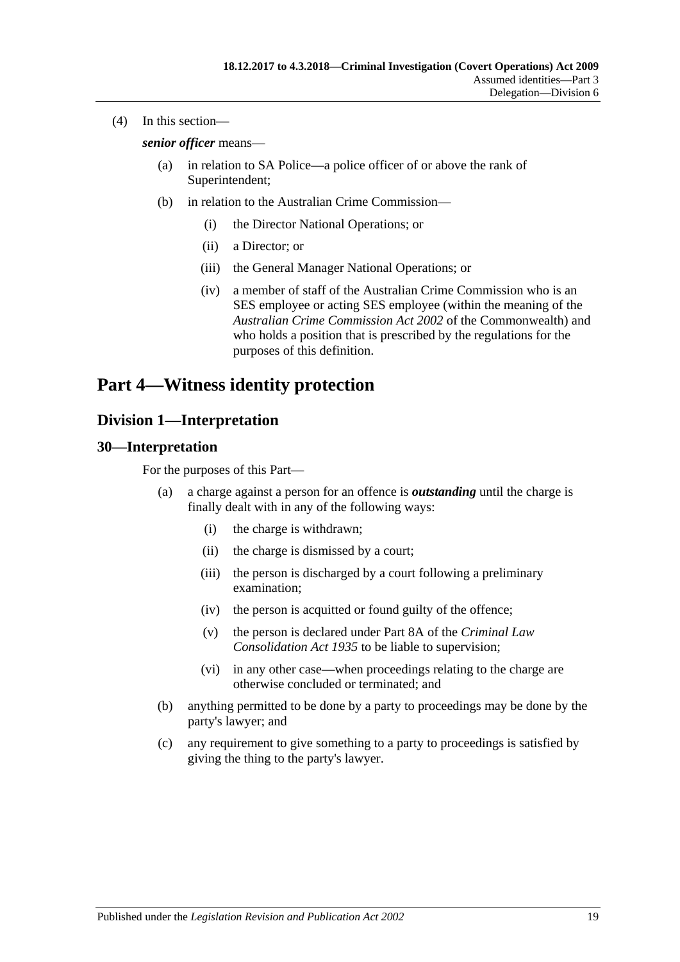(4) In this section—

*senior officer* means—

- (a) in relation to SA Police—a police officer of or above the rank of Superintendent;
- (b) in relation to the Australian Crime Commission—
	- (i) the Director National Operations; or
	- (ii) a Director; or
	- (iii) the General Manager National Operations; or
	- (iv) a member of staff of the Australian Crime Commission who is an SES employee or acting SES employee (within the meaning of the *Australian Crime Commission Act 2002* of the Commonwealth) and who holds a position that is prescribed by the regulations for the purposes of this definition.

## <span id="page-18-0"></span>**Part 4—Witness identity protection**

### <span id="page-18-1"></span>**Division 1—Interpretation**

### <span id="page-18-2"></span>**30—Interpretation**

For the purposes of this Part—

- (a) a charge against a person for an offence is *outstanding* until the charge is finally dealt with in any of the following ways:
	- (i) the charge is withdrawn;
	- (ii) the charge is dismissed by a court;
	- (iii) the person is discharged by a court following a preliminary examination;
	- (iv) the person is acquitted or found guilty of the offence;
	- (v) the person is declared under Part 8A of the *[Criminal Law](http://www.legislation.sa.gov.au/index.aspx?action=legref&type=act&legtitle=Criminal%20Law%20Consolidation%20Act%201935)  [Consolidation Act](http://www.legislation.sa.gov.au/index.aspx?action=legref&type=act&legtitle=Criminal%20Law%20Consolidation%20Act%201935) 1935* to be liable to supervision;
	- (vi) in any other case—when proceedings relating to the charge are otherwise concluded or terminated; and
- (b) anything permitted to be done by a party to proceedings may be done by the party's lawyer; and
- (c) any requirement to give something to a party to proceedings is satisfied by giving the thing to the party's lawyer.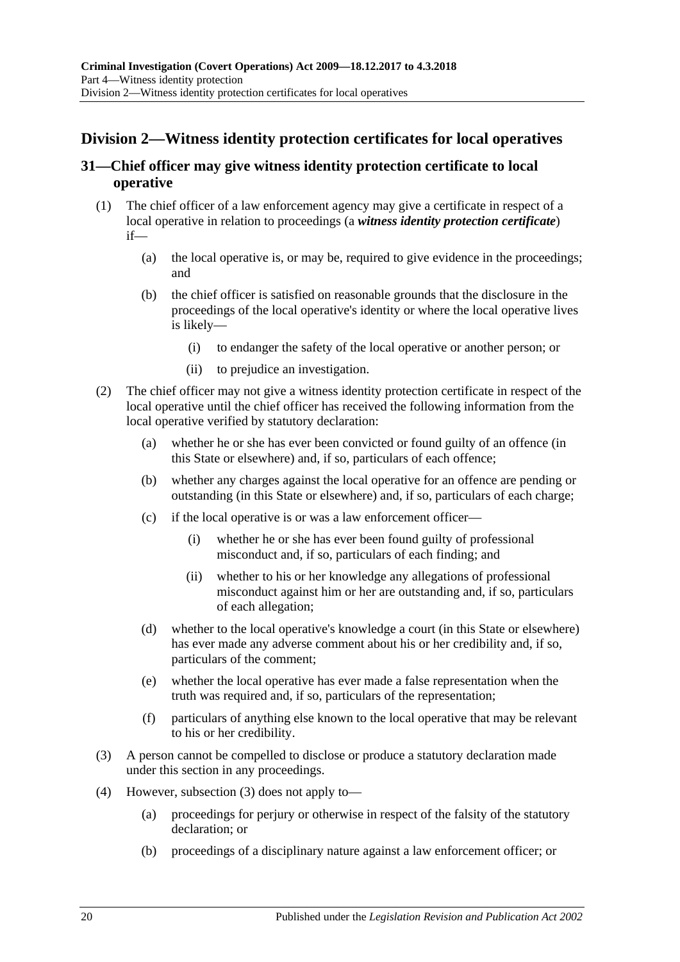### <span id="page-19-0"></span>**Division 2—Witness identity protection certificates for local operatives**

### <span id="page-19-1"></span>**31—Chief officer may give witness identity protection certificate to local operative**

- <span id="page-19-3"></span>(1) The chief officer of a law enforcement agency may give a certificate in respect of a local operative in relation to proceedings (a *witness identity protection certificate*) if—
	- (a) the local operative is, or may be, required to give evidence in the proceedings; and
	- (b) the chief officer is satisfied on reasonable grounds that the disclosure in the proceedings of the local operative's identity or where the local operative lives is likely—
		- (i) to endanger the safety of the local operative or another person; or
		- (ii) to prejudice an investigation.
- (2) The chief officer may not give a witness identity protection certificate in respect of the local operative until the chief officer has received the following information from the local operative verified by statutory declaration:
	- (a) whether he or she has ever been convicted or found guilty of an offence (in this State or elsewhere) and, if so, particulars of each offence;
	- (b) whether any charges against the local operative for an offence are pending or outstanding (in this State or elsewhere) and, if so, particulars of each charge;
	- (c) if the local operative is or was a law enforcement officer—
		- (i) whether he or she has ever been found guilty of professional misconduct and, if so, particulars of each finding; and
		- (ii) whether to his or her knowledge any allegations of professional misconduct against him or her are outstanding and, if so, particulars of each allegation;
	- (d) whether to the local operative's knowledge a court (in this State or elsewhere) has ever made any adverse comment about his or her credibility and, if so, particulars of the comment;
	- (e) whether the local operative has ever made a false representation when the truth was required and, if so, particulars of the representation;
	- (f) particulars of anything else known to the local operative that may be relevant to his or her credibility.
- <span id="page-19-2"></span>(3) A person cannot be compelled to disclose or produce a statutory declaration made under this section in any proceedings.
- (4) However, [subsection \(3\)](#page-19-2) does not apply to—
	- (a) proceedings for perjury or otherwise in respect of the falsity of the statutory declaration; or
	- (b) proceedings of a disciplinary nature against a law enforcement officer; or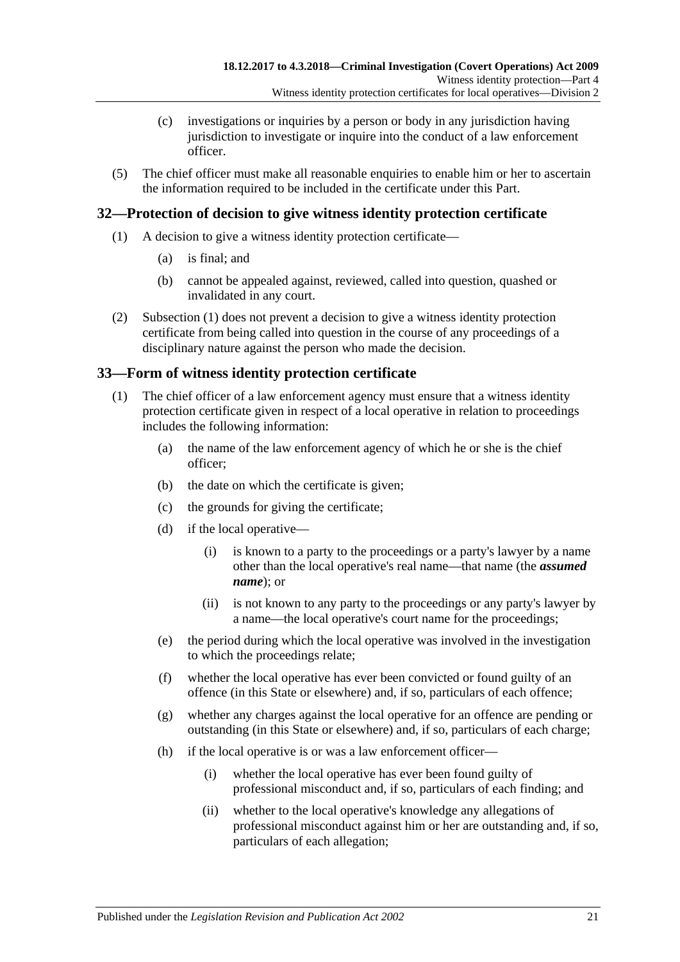- (c) investigations or inquiries by a person or body in any jurisdiction having jurisdiction to investigate or inquire into the conduct of a law enforcement officer.
- (5) The chief officer must make all reasonable enquiries to enable him or her to ascertain the information required to be included in the certificate under this Part.

### <span id="page-20-3"></span><span id="page-20-0"></span>**32—Protection of decision to give witness identity protection certificate**

- (1) A decision to give a witness identity protection certificate—
	- (a) is final; and
	- (b) cannot be appealed against, reviewed, called into question, quashed or invalidated in any court.
- (2) [Subsection \(1\)](#page-20-3) does not prevent a decision to give a witness identity protection certificate from being called into question in the course of any proceedings of a disciplinary nature against the person who made the decision.

### <span id="page-20-1"></span>**33—Form of witness identity protection certificate**

- <span id="page-20-2"></span>(1) The chief officer of a law enforcement agency must ensure that a witness identity protection certificate given in respect of a local operative in relation to proceedings includes the following information:
	- (a) the name of the law enforcement agency of which he or she is the chief officer;
	- (b) the date on which the certificate is given;
	- (c) the grounds for giving the certificate;
	- (d) if the local operative—
		- (i) is known to a party to the proceedings or a party's lawyer by a name other than the local operative's real name—that name (the *assumed name*); or
		- (ii) is not known to any party to the proceedings or any party's lawyer by a name—the local operative's court name for the proceedings;
	- (e) the period during which the local operative was involved in the investigation to which the proceedings relate;
	- (f) whether the local operative has ever been convicted or found guilty of an offence (in this State or elsewhere) and, if so, particulars of each offence;
	- (g) whether any charges against the local operative for an offence are pending or outstanding (in this State or elsewhere) and, if so, particulars of each charge;
	- (h) if the local operative is or was a law enforcement officer—
		- (i) whether the local operative has ever been found guilty of professional misconduct and, if so, particulars of each finding; and
		- (ii) whether to the local operative's knowledge any allegations of professional misconduct against him or her are outstanding and, if so, particulars of each allegation;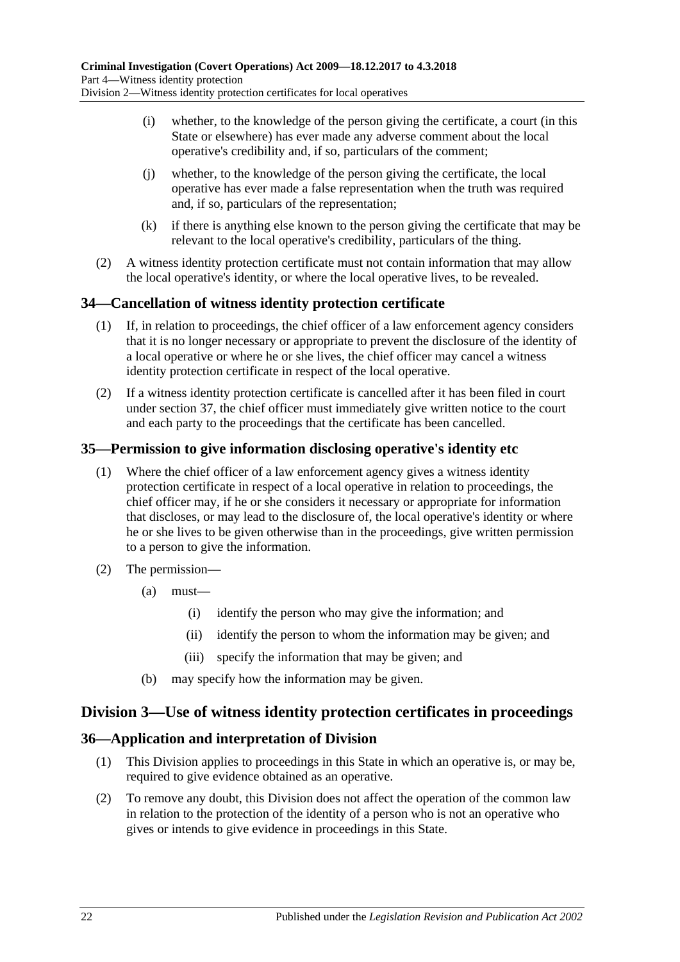- (i) whether, to the knowledge of the person giving the certificate, a court (in this State or elsewhere) has ever made any adverse comment about the local operative's credibility and, if so, particulars of the comment;
- (j) whether, to the knowledge of the person giving the certificate, the local operative has ever made a false representation when the truth was required and, if so, particulars of the representation;
- (k) if there is anything else known to the person giving the certificate that may be relevant to the local operative's credibility, particulars of the thing.
- (2) A witness identity protection certificate must not contain information that may allow the local operative's identity, or where the local operative lives, to be revealed.

### <span id="page-21-0"></span>**34—Cancellation of witness identity protection certificate**

- (1) If, in relation to proceedings, the chief officer of a law enforcement agency considers that it is no longer necessary or appropriate to prevent the disclosure of the identity of a local operative or where he or she lives, the chief officer may cancel a witness identity protection certificate in respect of the local operative.
- (2) If a witness identity protection certificate is cancelled after it has been filed in court under [section](#page-22-0) 37, the chief officer must immediately give written notice to the court and each party to the proceedings that the certificate has been cancelled.

### <span id="page-21-1"></span>**35—Permission to give information disclosing operative's identity etc**

- (1) Where the chief officer of a law enforcement agency gives a witness identity protection certificate in respect of a local operative in relation to proceedings, the chief officer may, if he or she considers it necessary or appropriate for information that discloses, or may lead to the disclosure of, the local operative's identity or where he or she lives to be given otherwise than in the proceedings, give written permission to a person to give the information.
- (2) The permission—
	- (a) must—
		- (i) identify the person who may give the information; and
		- (ii) identify the person to whom the information may be given; and
		- (iii) specify the information that may be given; and
	- (b) may specify how the information may be given.

### <span id="page-21-2"></span>**Division 3—Use of witness identity protection certificates in proceedings**

### <span id="page-21-3"></span>**36—Application and interpretation of Division**

- (1) This Division applies to proceedings in this State in which an operative is, or may be, required to give evidence obtained as an operative.
- (2) To remove any doubt, this Division does not affect the operation of the common law in relation to the protection of the identity of a person who is not an operative who gives or intends to give evidence in proceedings in this State.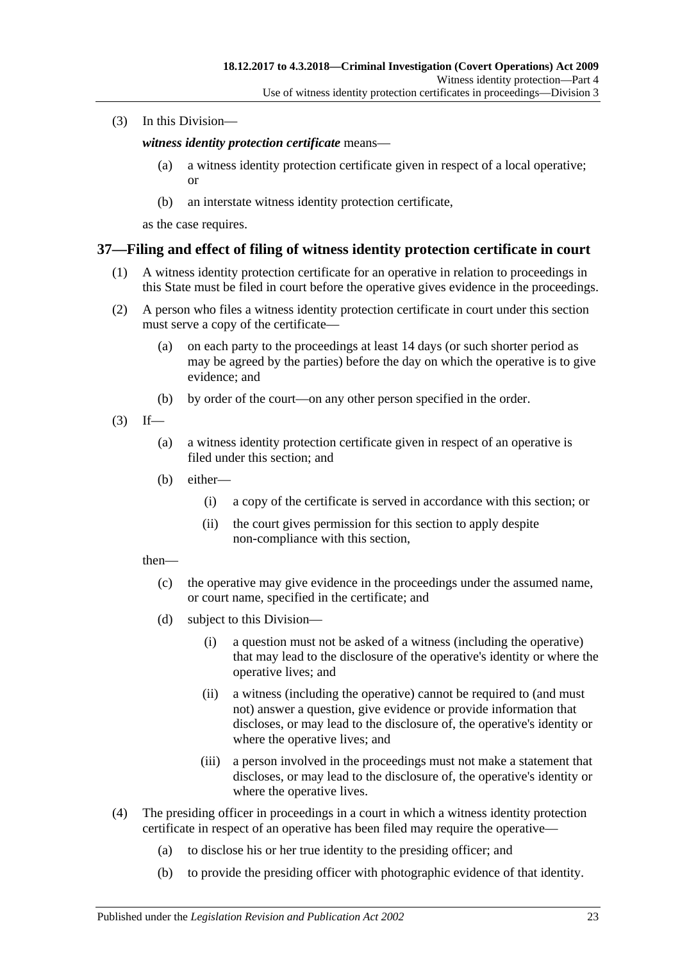(3) In this Division—

*witness identity protection certificate* means—

- (a) a witness identity protection certificate given in respect of a local operative; or
- (b) an interstate witness identity protection certificate,

as the case requires.

### <span id="page-22-0"></span>**37—Filing and effect of filing of witness identity protection certificate in court**

- (1) A witness identity protection certificate for an operative in relation to proceedings in this State must be filed in court before the operative gives evidence in the proceedings.
- (2) A person who files a witness identity protection certificate in court under this section must serve a copy of the certificate—
	- (a) on each party to the proceedings at least 14 days (or such shorter period as may be agreed by the parties) before the day on which the operative is to give evidence; and
	- (b) by order of the court—on any other person specified in the order.
- $(3)$  If—
	- (a) a witness identity protection certificate given in respect of an operative is filed under this section; and
	- (b) either—
		- (i) a copy of the certificate is served in accordance with this section; or
		- (ii) the court gives permission for this section to apply despite non-compliance with this section,

then—

- (c) the operative may give evidence in the proceedings under the assumed name, or court name, specified in the certificate; and
- (d) subject to this Division—
	- (i) a question must not be asked of a witness (including the operative) that may lead to the disclosure of the operative's identity or where the operative lives; and
	- (ii) a witness (including the operative) cannot be required to (and must not) answer a question, give evidence or provide information that discloses, or may lead to the disclosure of, the operative's identity or where the operative lives; and
	- (iii) a person involved in the proceedings must not make a statement that discloses, or may lead to the disclosure of, the operative's identity or where the operative lives.
- (4) The presiding officer in proceedings in a court in which a witness identity protection certificate in respect of an operative has been filed may require the operative—
	- (a) to disclose his or her true identity to the presiding officer; and
	- (b) to provide the presiding officer with photographic evidence of that identity.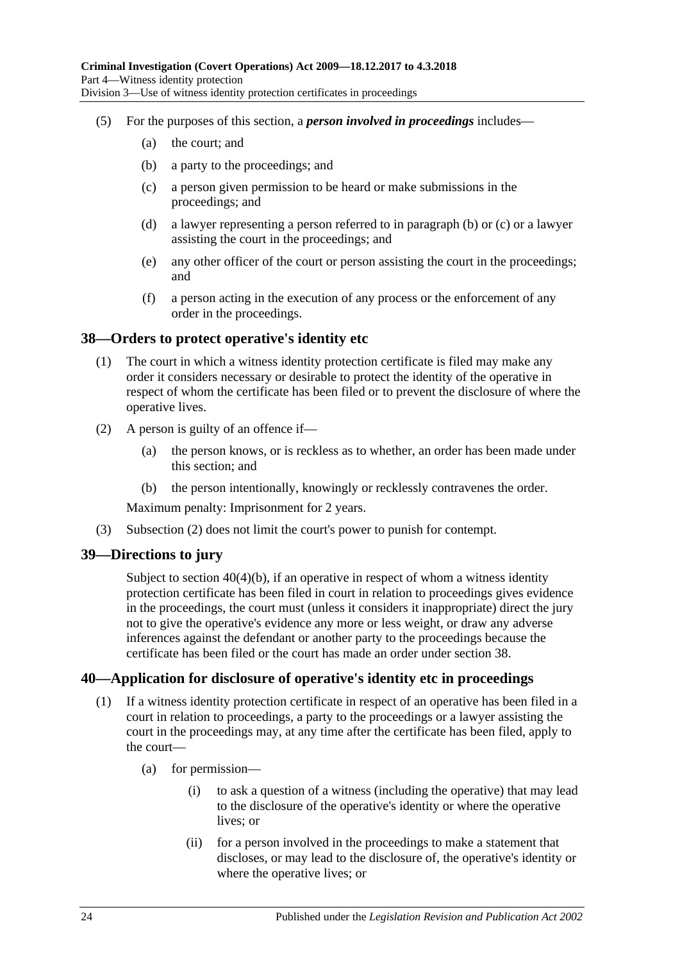- <span id="page-23-4"></span><span id="page-23-3"></span>(5) For the purposes of this section, a *person involved in proceedings* includes—
	- (a) the court; and
	- (b) a party to the proceedings; and
	- (c) a person given permission to be heard or make submissions in the proceedings; and
	- (d) a lawyer representing a person referred to in [paragraph](#page-23-3) (b) or [\(c\)](#page-23-4) or a lawyer assisting the court in the proceedings; and
	- (e) any other officer of the court or person assisting the court in the proceedings; and
	- (f) a person acting in the execution of any process or the enforcement of any order in the proceedings.

### <span id="page-23-0"></span>**38—Orders to protect operative's identity etc**

- (1) The court in which a witness identity protection certificate is filed may make any order it considers necessary or desirable to protect the identity of the operative in respect of whom the certificate has been filed or to prevent the disclosure of where the operative lives.
- <span id="page-23-5"></span>(2) A person is guilty of an offence if—
	- (a) the person knows, or is reckless as to whether, an order has been made under this section; and
	- (b) the person intentionally, knowingly or recklessly contravenes the order.

Maximum penalty: Imprisonment for 2 years.

(3) [Subsection \(2\)](#page-23-5) does not limit the court's power to punish for contempt.

### <span id="page-23-1"></span>**39—Directions to jury**

Subject to section [40\(4\)\(b\),](#page-24-0) if an operative in respect of whom a witness identity protection certificate has been filed in court in relation to proceedings gives evidence in the proceedings, the court must (unless it considers it inappropriate) direct the jury not to give the operative's evidence any more or less weight, or draw any adverse inferences against the defendant or another party to the proceedings because the certificate has been filed or the court has made an order under [section](#page-23-0) 38.

### <span id="page-23-2"></span>**40—Application for disclosure of operative's identity etc in proceedings**

- (1) If a witness identity protection certificate in respect of an operative has been filed in a court in relation to proceedings, a party to the proceedings or a lawyer assisting the court in the proceedings may, at any time after the certificate has been filed, apply to the court—
	- (a) for permission—
		- (i) to ask a question of a witness (including the operative) that may lead to the disclosure of the operative's identity or where the operative lives; or
		- (ii) for a person involved in the proceedings to make a statement that discloses, or may lead to the disclosure of, the operative's identity or where the operative lives; or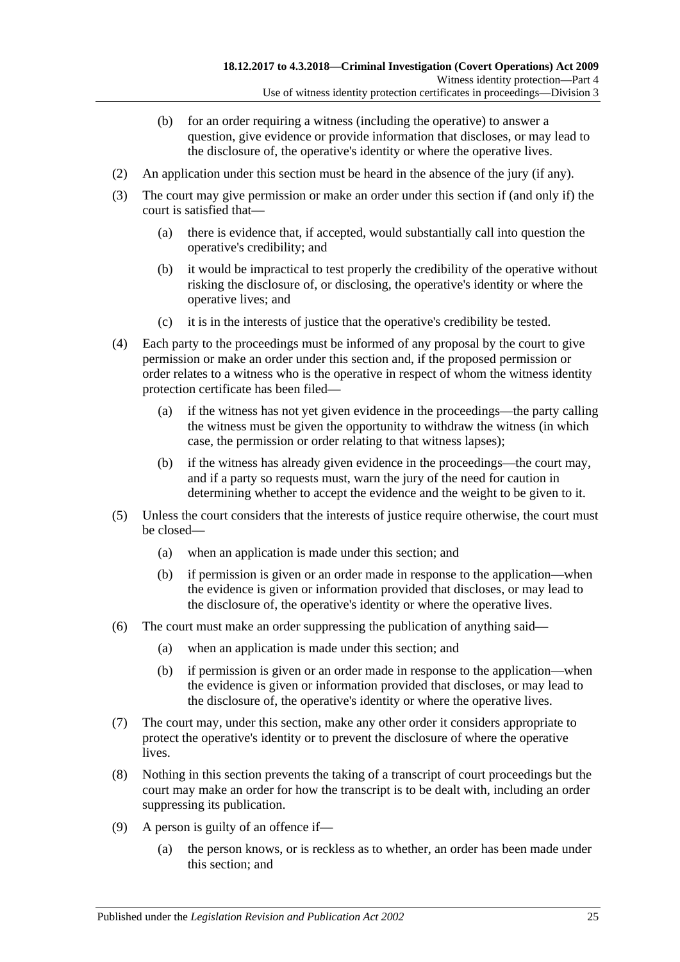- (b) for an order requiring a witness (including the operative) to answer a question, give evidence or provide information that discloses, or may lead to the disclosure of, the operative's identity or where the operative lives.
- (2) An application under this section must be heard in the absence of the jury (if any).
- (3) The court may give permission or make an order under this section if (and only if) the court is satisfied that—
	- (a) there is evidence that, if accepted, would substantially call into question the operative's credibility; and
	- (b) it would be impractical to test properly the credibility of the operative without risking the disclosure of, or disclosing, the operative's identity or where the operative lives; and
	- (c) it is in the interests of justice that the operative's credibility be tested.
- (4) Each party to the proceedings must be informed of any proposal by the court to give permission or make an order under this section and, if the proposed permission or order relates to a witness who is the operative in respect of whom the witness identity protection certificate has been filed—
	- (a) if the witness has not yet given evidence in the proceedings—the party calling the witness must be given the opportunity to withdraw the witness (in which case, the permission or order relating to that witness lapses);
	- (b) if the witness has already given evidence in the proceedings—the court may, and if a party so requests must, warn the jury of the need for caution in determining whether to accept the evidence and the weight to be given to it.
- <span id="page-24-0"></span>(5) Unless the court considers that the interests of justice require otherwise, the court must be closed—
	- (a) when an application is made under this section; and
	- (b) if permission is given or an order made in response to the application—when the evidence is given or information provided that discloses, or may lead to the disclosure of, the operative's identity or where the operative lives.
- (6) The court must make an order suppressing the publication of anything said—
	- (a) when an application is made under this section; and
	- (b) if permission is given or an order made in response to the application—when the evidence is given or information provided that discloses, or may lead to the disclosure of, the operative's identity or where the operative lives.
- (7) The court may, under this section, make any other order it considers appropriate to protect the operative's identity or to prevent the disclosure of where the operative lives.
- (8) Nothing in this section prevents the taking of a transcript of court proceedings but the court may make an order for how the transcript is to be dealt with, including an order suppressing its publication.
- <span id="page-24-1"></span>(9) A person is guilty of an offence if—
	- (a) the person knows, or is reckless as to whether, an order has been made under this section; and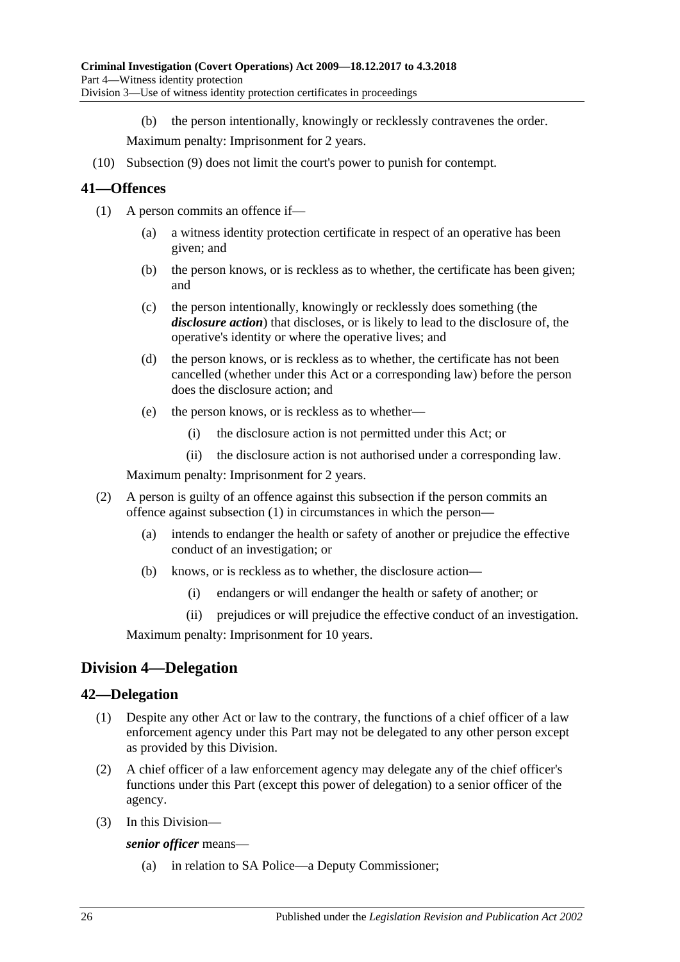(b) the person intentionally, knowingly or recklessly contravenes the order.

Maximum penalty: Imprisonment for 2 years.

(10) [Subsection \(9\)](#page-24-1) does not limit the court's power to punish for contempt.

### <span id="page-25-3"></span><span id="page-25-0"></span>**41—Offences**

- (1) A person commits an offence if—
	- (a) a witness identity protection certificate in respect of an operative has been given; and
	- (b) the person knows, or is reckless as to whether, the certificate has been given; and
	- (c) the person intentionally, knowingly or recklessly does something (the *disclosure action*) that discloses, or is likely to lead to the disclosure of, the operative's identity or where the operative lives; and
	- (d) the person knows, or is reckless as to whether, the certificate has not been cancelled (whether under this Act or a corresponding law) before the person does the disclosure action; and
	- (e) the person knows, or is reckless as to whether—
		- (i) the disclosure action is not permitted under this Act; or
		- (ii) the disclosure action is not authorised under a corresponding law.

Maximum penalty: Imprisonment for 2 years.

- (2) A person is guilty of an offence against this subsection if the person commits an offence against [subsection](#page-25-3) (1) in circumstances in which the person—
	- (a) intends to endanger the health or safety of another or prejudice the effective conduct of an investigation; or
	- (b) knows, or is reckless as to whether, the disclosure action—
		- (i) endangers or will endanger the health or safety of another; or
		- (ii) prejudices or will prejudice the effective conduct of an investigation.

Maximum penalty: Imprisonment for 10 years.

### <span id="page-25-1"></span>**Division 4—Delegation**

### <span id="page-25-2"></span>**42—Delegation**

- (1) Despite any other Act or law to the contrary, the functions of a chief officer of a law enforcement agency under this Part may not be delegated to any other person except as provided by this Division.
- (2) A chief officer of a law enforcement agency may delegate any of the chief officer's functions under this Part (except this power of delegation) to a senior officer of the agency.
- (3) In this Division—

*senior officer* means—

(a) in relation to SA Police—a Deputy Commissioner;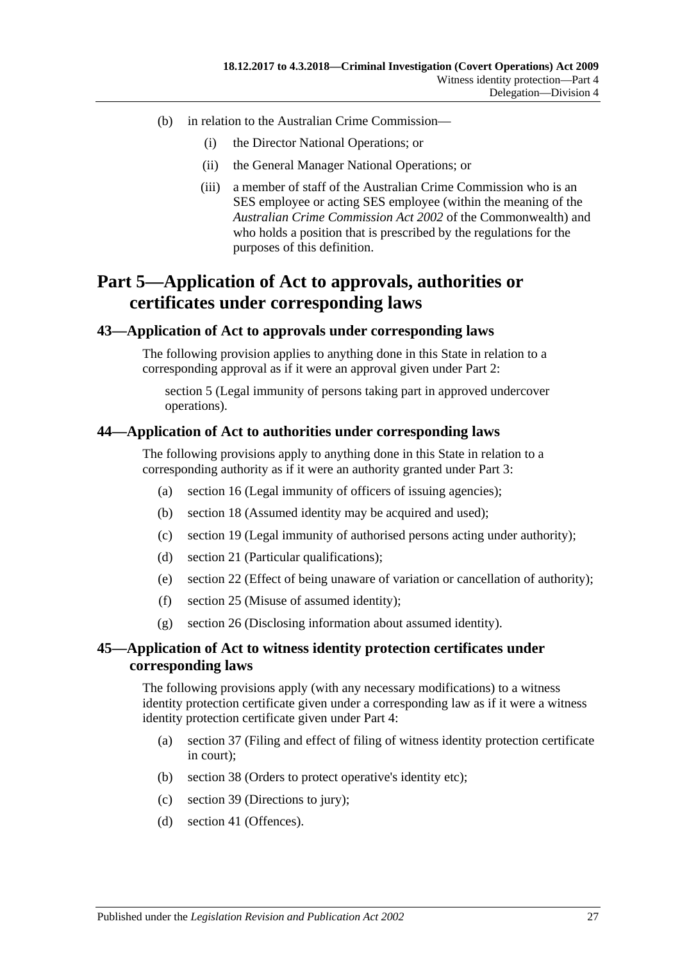- (b) in relation to the Australian Crime Commission—
	- (i) the Director National Operations; or
	- (ii) the General Manager National Operations; or
	- (iii) a member of staff of the Australian Crime Commission who is an SES employee or acting SES employee (within the meaning of the *Australian Crime Commission Act 2002* of the Commonwealth) and who holds a position that is prescribed by the regulations for the purposes of this definition.

## <span id="page-26-0"></span>**Part 5—Application of Act to approvals, authorities or certificates under corresponding laws**

### <span id="page-26-1"></span>**43—Application of Act to approvals under corresponding laws**

The following provision applies to anything done in this State in relation to a corresponding approval as if it were an approval given under [Part 2:](#page-6-0)

[section](#page-8-0) 5 (Legal immunity of persons taking part in approved undercover operations).

### <span id="page-26-2"></span>**44—Application of Act to authorities under corresponding laws**

The following provisions apply to anything done in this State in relation to a corresponding authority as if it were an authority granted under [Part 3:](#page-8-1)

- (a) [section](#page-13-0) 16 (Legal immunity of officers of issuing agencies);
- (b) [section](#page-13-3) 18 (Assumed identity may be acquired and used);
- (c) [section](#page-13-4) 19 (Legal immunity of authorised persons acting under authority);
- (d) [section](#page-14-1) 21 (Particular qualifications);
- (e) [section](#page-14-2) 22 (Effect of being unaware of variation or cancellation of authority);
- (f) [section](#page-15-2) 25 (Misuse of assumed identity);
- (g) [section](#page-16-0) 26 (Disclosing information about assumed identity).

### <span id="page-26-3"></span>**45—Application of Act to witness identity protection certificates under corresponding laws**

The following provisions apply (with any necessary modifications) to a witness identity protection certificate given under a corresponding law as if it were a witness identity protection certificate given under [Part 4:](#page-18-0)

- (a) [section](#page-22-0) 37 (Filing and effect of filing of witness identity protection certificate in court);
- (b) [section](#page-23-0) 38 (Orders to protect operative's identity etc);
- (c) [section](#page-23-1) 39 (Directions to jury);
- (d) [section](#page-25-0) 41 (Offences).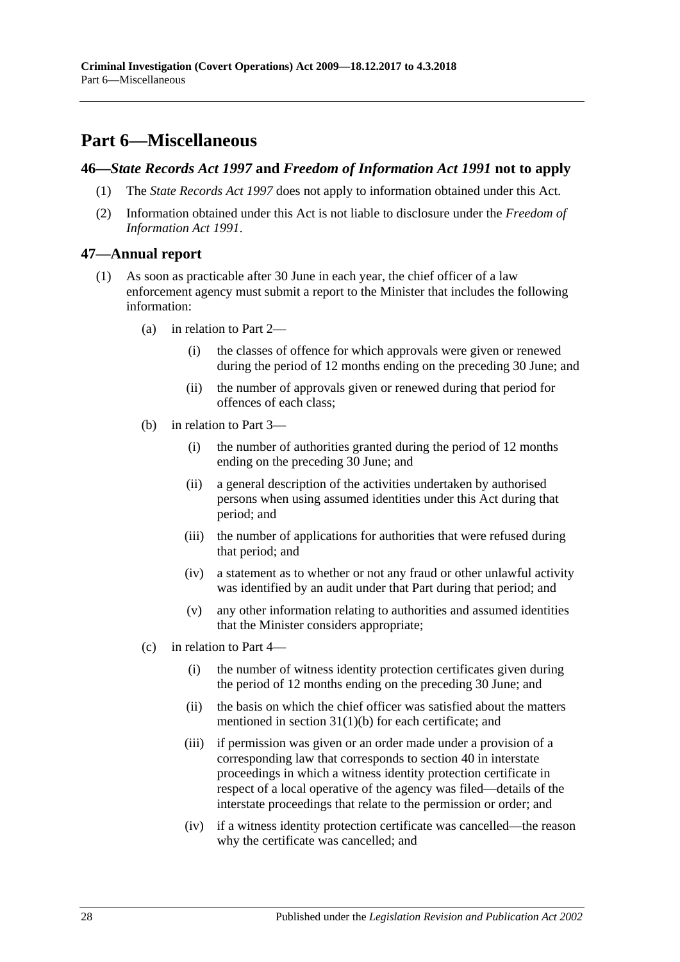## <span id="page-27-0"></span>**Part 6—Miscellaneous**

### <span id="page-27-1"></span>**46—***State Records Act 1997* **and** *Freedom of Information Act 1991* **not to apply**

- (1) The *[State Records Act](http://www.legislation.sa.gov.au/index.aspx?action=legref&type=act&legtitle=State%20Records%20Act%201997) 1997* does not apply to information obtained under this Act.
- (2) Information obtained under this Act is not liable to disclosure under the *[Freedom of](http://www.legislation.sa.gov.au/index.aspx?action=legref&type=act&legtitle=Freedom%20of%20Information%20Act%201991)  [Information Act](http://www.legislation.sa.gov.au/index.aspx?action=legref&type=act&legtitle=Freedom%20of%20Information%20Act%201991) 1991*.

### <span id="page-27-2"></span>**47—Annual report**

- (1) As soon as practicable after 30 June in each year, the chief officer of a law enforcement agency must submit a report to the Minister that includes the following information:
	- (a) in relation to [Part 2—](#page-6-0)
		- (i) the classes of offence for which approvals were given or renewed during the period of 12 months ending on the preceding 30 June; and
		- (ii) the number of approvals given or renewed during that period for offences of each class;
	- (b) in relation to [Part 3—](#page-8-1)
		- (i) the number of authorities granted during the period of 12 months ending on the preceding 30 June; and
		- (ii) a general description of the activities undertaken by authorised persons when using assumed identities under this Act during that period; and
		- (iii) the number of applications for authorities that were refused during that period; and
		- (iv) a statement as to whether or not any fraud or other unlawful activity was identified by an audit under that Part during that period; and
		- (v) any other information relating to authorities and assumed identities that the Minister considers appropriate;
	- (c) in relation to [Part 4—](#page-18-0)
		- (i) the number of witness identity protection certificates given during the period of 12 months ending on the preceding 30 June; and
		- (ii) the basis on which the chief officer was satisfied about the matters mentioned in section [31\(1\)\(b\)](#page-19-3) for each certificate; and
		- (iii) if permission was given or an order made under a provision of a corresponding law that corresponds to [section](#page-23-2) 40 in interstate proceedings in which a witness identity protection certificate in respect of a local operative of the agency was filed—details of the interstate proceedings that relate to the permission or order; and
		- (iv) if a witness identity protection certificate was cancelled—the reason why the certificate was cancelled; and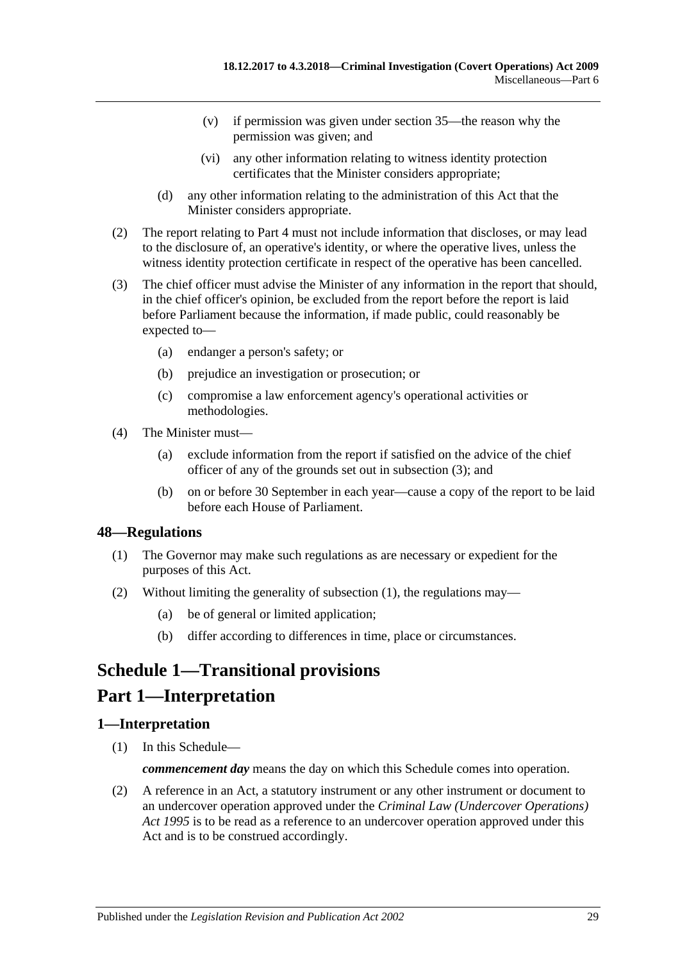- (v) if permission was given under [section](#page-21-1) 35—the reason why the permission was given; and
- (vi) any other information relating to witness identity protection certificates that the Minister considers appropriate;
- (d) any other information relating to the administration of this Act that the Minister considers appropriate.
- (2) The report relating to [Part 4](#page-18-0) must not include information that discloses, or may lead to the disclosure of, an operative's identity, or where the operative lives, unless the witness identity protection certificate in respect of the operative has been cancelled.
- <span id="page-28-3"></span>(3) The chief officer must advise the Minister of any information in the report that should, in the chief officer's opinion, be excluded from the report before the report is laid before Parliament because the information, if made public, could reasonably be expected to—
	- (a) endanger a person's safety; or
	- (b) prejudice an investigation or prosecution; or
	- (c) compromise a law enforcement agency's operational activities or methodologies.
- (4) The Minister must—
	- (a) exclude information from the report if satisfied on the advice of the chief officer of any of the grounds set out in [subsection](#page-28-3) (3); and
	- (b) on or before 30 September in each year—cause a copy of the report to be laid before each House of Parliament.

### <span id="page-28-4"></span><span id="page-28-0"></span>**48—Regulations**

- (1) The Governor may make such regulations as are necessary or expedient for the purposes of this Act.
- (2) Without limiting the generality of [subsection](#page-28-4) (1), the regulations may—
	- (a) be of general or limited application;
	- (b) differ according to differences in time, place or circumstances.

## <span id="page-28-1"></span>**Schedule 1—Transitional provisions**

### **Part 1—Interpretation**

### <span id="page-28-2"></span>**1—Interpretation**

(1) In this Schedule—

*commencement day* means the day on which this Schedule comes into operation.

(2) A reference in an Act, a statutory instrument or any other instrument or document to an undercover operation approved under the *[Criminal Law \(Undercover Operations\)](http://www.legislation.sa.gov.au/index.aspx?action=legref&type=act&legtitle=Criminal%20Law%20(Undercover%20Operations)%20Act%201995) Act [1995](http://www.legislation.sa.gov.au/index.aspx?action=legref&type=act&legtitle=Criminal%20Law%20(Undercover%20Operations)%20Act%201995)* is to be read as a reference to an undercover operation approved under this Act and is to be construed accordingly.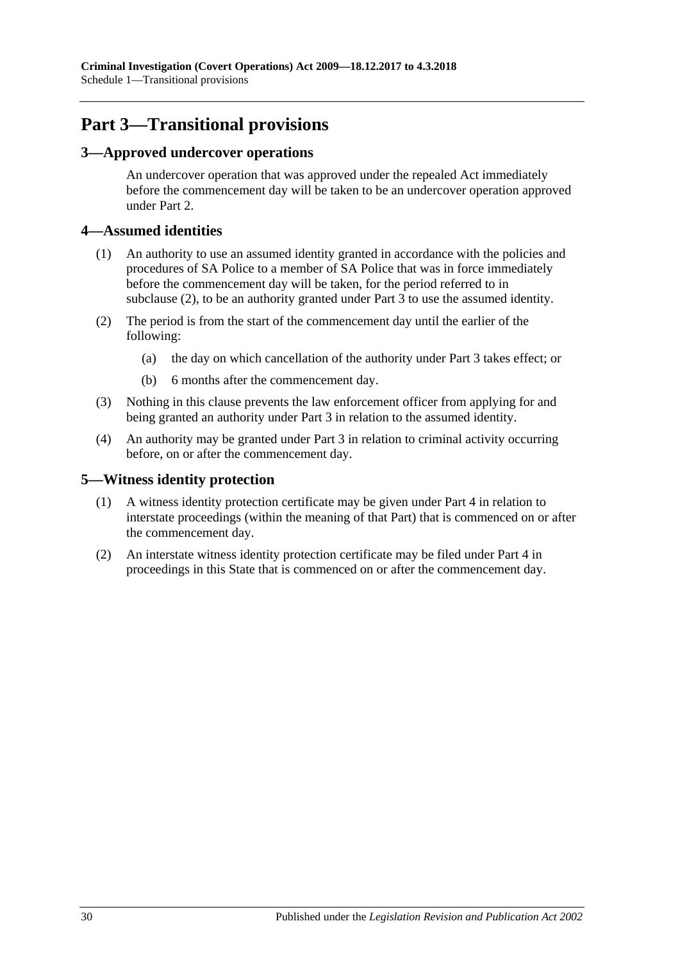## **Part 3—Transitional provisions**

### <span id="page-29-0"></span>**3—Approved undercover operations**

An undercover operation that was approved under the repealed Act immediately before the commencement day will be taken to be an undercover operation approved under [Part 2.](#page-6-0)

### <span id="page-29-1"></span>**4—Assumed identities**

- (1) An authority to use an assumed identity granted in accordance with the policies and procedures of SA Police to a member of SA Police that was in force immediately before the commencement day will be taken, for the period referred to in [subclause](#page-29-3) (2), to be an authority granted under [Part 3](#page-8-1) to use the assumed identity.
- <span id="page-29-3"></span>(2) The period is from the start of the commencement day until the earlier of the following:
	- (a) the day on which cancellation of the authority under [Part 3](#page-8-1) takes effect; or
	- (b) 6 months after the commencement day.
- (3) Nothing in this clause prevents the law enforcement officer from applying for and being granted an authority under [Part 3](#page-8-1) in relation to the assumed identity.
- (4) An authority may be granted under [Part 3](#page-8-1) in relation to criminal activity occurring before, on or after the commencement day.

### <span id="page-29-2"></span>**5—Witness identity protection**

- (1) A witness identity protection certificate may be given under [Part 4](#page-18-0) in relation to interstate proceedings (within the meaning of that Part) that is commenced on or after the commencement day.
- (2) An interstate witness identity protection certificate may be filed under [Part 4](#page-18-0) in proceedings in this State that is commenced on or after the commencement day.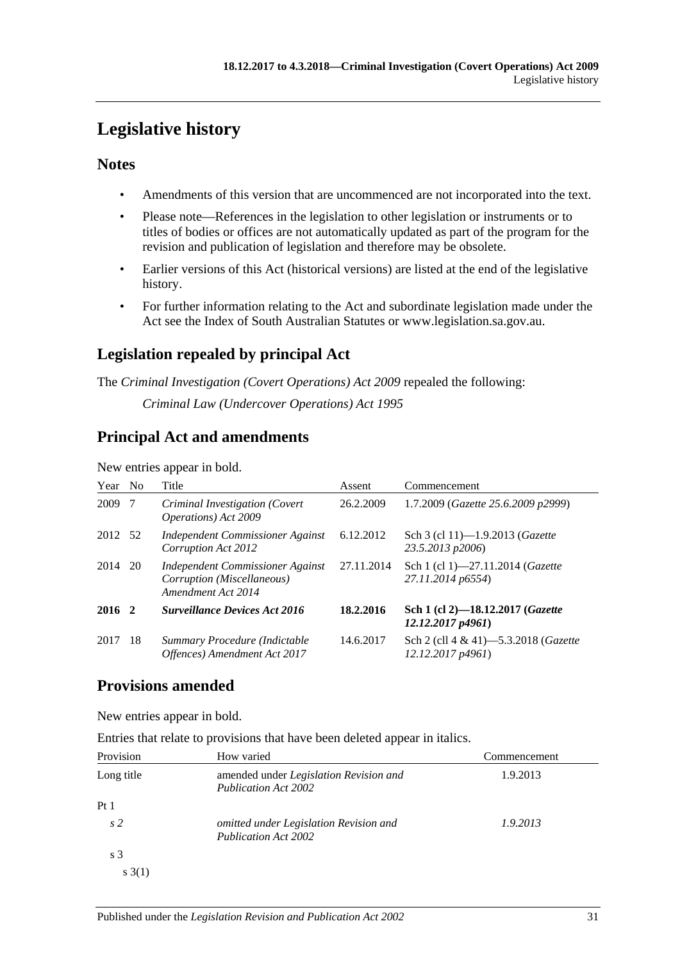## <span id="page-30-0"></span>**Legislative history**

### **Notes**

- Amendments of this version that are uncommenced are not incorporated into the text.
- Please note—References in the legislation to other legislation or instruments or to titles of bodies or offices are not automatically updated as part of the program for the revision and publication of legislation and therefore may be obsolete.
- Earlier versions of this Act (historical versions) are listed at the end of the legislative history.
- For further information relating to the Act and subordinate legislation made under the Act see the Index of South Australian Statutes or www.legislation.sa.gov.au.

### **Legislation repealed by principal Act**

The *Criminal Investigation (Covert Operations) Act 2009* repealed the following:

*Criminal Law (Undercover Operations) Act 1995*

### **Principal Act and amendments**

New entries appear in bold.

| Year    | N <sub>0</sub> | Title                                                                                | Assent     | Commencement                                                           |
|---------|----------------|--------------------------------------------------------------------------------------|------------|------------------------------------------------------------------------|
| 2009    | -7             | Criminal Investigation (Covert<br><i>Operations</i> ) Act 2009                       | 26.2.2009  | 1.7.2009 (Gazette 25.6.2009 p2999)                                     |
| 2012 52 |                | Independent Commissioner Against<br>Corruption Act 2012                              | 6.12.2012  | Sch 3 (cl 11)-1.9.2013 (Gazette<br>23.5.2013 p2006)                    |
| 2014    | 20             | Independent Commissioner Against<br>Corruption (Miscellaneous)<br>Amendment Act 2014 | 27.11.2014 | Sch 1 (cl 1)-27.11.2014 ( <i>Gazette</i><br>27.11.2014 p6554)          |
| 2016 2  |                | <b>Surveillance Devices Act 2016</b>                                                 | 18.2.2016  | Sch 1 (cl 2)-18.12.2017 (Gazette<br>12.12.2017p4961                    |
| 2017    | -18            | Summary Procedure (Indictable<br>Offences) Amendment Act 2017                        | 14.6.2017  | Sch 2 (cll $4 \& 41$ ) -5.3.2018 ( <i>Gazette</i><br>12.12.2017 p4961) |

### **Provisions amended**

New entries appear in bold.

Entries that relate to provisions that have been deleted appear in italics.

| Provision       | How varied                                                                   | Commencement |
|-----------------|------------------------------------------------------------------------------|--------------|
| Long title      | amended under <i>Legislation Revision and</i><br><b>Publication Act 2002</b> | 1.9.2013     |
| Pt <sub>1</sub> |                                                                              |              |
| s <sub>2</sub>  | omitted under Legislation Revision and<br><b>Publication Act 2002</b>        | 1.9.2013     |
| s <sub>3</sub>  |                                                                              |              |
| s(3(1))         |                                                                              |              |